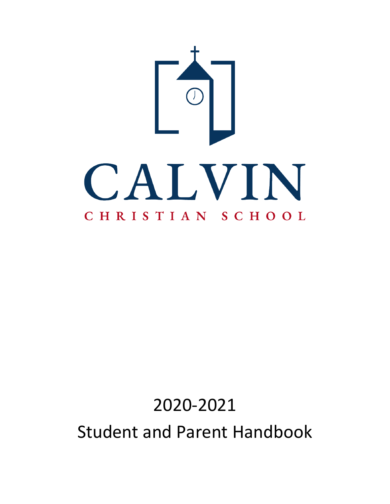

# 2020-2021 Student and Parent Handbook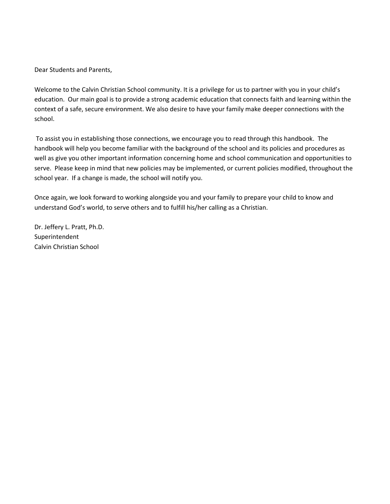Dear Students and Parents,

Welcome to the Calvin Christian School community. It is a privilege for us to partner with you in your child's education. Our main goal is to provide a strong academic education that connects faith and learning within the context of a safe, secure environment. We also desire to have your family make deeper connections with the school.

To assist you in establishing those connections, we encourage you to read through this handbook. The handbook will help you become familiar with the background of the school and its policies and procedures as well as give you other important information concerning home and school communication and opportunities to serve. Please keep in mind that new policies may be implemented, or current policies modified, throughout the school year. If a change is made, the school will notify you.

Once again, we look forward to working alongside you and your family to prepare your child to know and understand God's world, to serve others and to fulfill his/her calling as a Christian.

Dr. Jeffery L. Pratt, Ph.D. Superintendent Calvin Christian School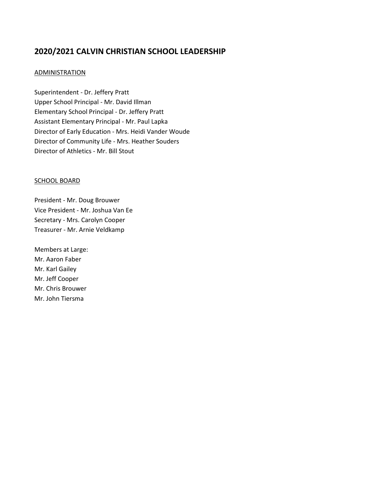# **2020/2021 CALVIN CHRISTIAN SCHOOL LEADERSHIP**

# **ADMINISTRATION**

Superintendent - Dr. Jeffery Pratt Upper School Principal - Mr. David Illman Elementary School Principal - Dr. Jeffery Pratt Assistant Elementary Principal - Mr. Paul Lapka Director of Early Education - Mrs. Heidi Vander Woude Director of Community Life - Mrs. Heather Souders Director of Athletics - Mr. Bill Stout

# SCHOOL BOARD

President - Mr. Doug Brouwer Vice President - Mr. Joshua Van Ee Secretary - Mrs. Carolyn Cooper Treasurer - Mr. Arnie Veldkamp

Members at Large: Mr. Aaron Faber Mr. Karl Gailey Mr. Jeff Cooper Mr. Chris Brouwer Mr. John Tiersma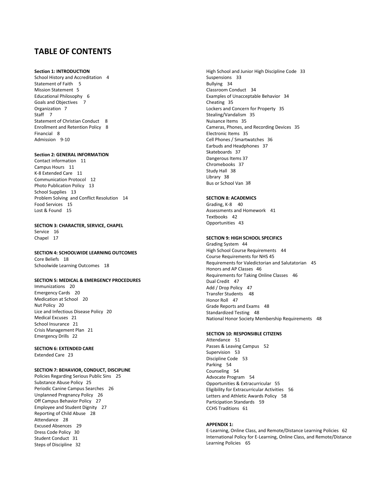# **TABLE OF CONTENTS**

#### **Section 1: INTRODUCTION**

School History and Accreditation 4 Statement of Faith 5 Mission Statement 5 Educational Philosophy 6 Goals and Objectives 7 Organization 7 Staff 7 Statement of Christian Conduct 8 Enrollment and Retention Policy 8 Financial 8 Admission 9-10

#### **Section 2: GENERAL INFORMATION**

Contact information 11 Campus Hours 11 K-8 Extended Care 11 Communication Protocol 12 Photo Publication Policy 13 School Supplies 13 Problem Solving and Conflict Resolution 14 Food Services 15 Lost & Found 15

#### **SECTION 3: CHARACTER, SERVICE, CHAPEL**

Service 16 Chapel 17

**SECTION 4: SCHOOLWIDE LEARNING OUTCOMES** Core Beliefs 18 Schoolwide Learning Outcomes 18

#### **SECTION 5: MEDICAL & EMERGENCY PROCEDURES**

Immunizations 20 Emergency Cards 20 Medication at School 20 Nut Policy 20 Lice and Infectious Disease Policy 20 Medical Excuses 21 School Insurance 21 Crisis Management Plan 21 Emergency Drills 22

#### **SECTION 6: EXTENDED CARE** Extended Care 23

#### **SECTION 7: BEHAVIOR, CONDUCT, DISCIPLINE**

Policies Regarding Serious Public Sins 25 Substance Abuse Policy 25 Periodic Canine Campus Searches 26 Unplanned Pregnancy Policy 26 Off Campus Behavior Policy 27 Employee and Student Dignity 27 Reporting of Child Abuse 28 Attendance 28 Excused Absences 29 Dress Code Policy 30 Student Conduct 31 Steps of Discipline 32

High School and Junior High Discipline Code 33 Suspensions 33 Bullying 34 Classroom Conduct 34 Examples of Unacceptable Behavior 34 Cheating 35 Lockers and Concern for Property 35 Stealing/Vandalism 35 Nuisance Items 35 Cameras, Phones, and Recording Devices 35 Electronic Items 35 Cell Phones / Smartwatches 36 Earbuds and Headphones 37 Skateboards 37 Dangerous Items 37 Chromebooks 37 Study Hall 38 Library 38 Bus or School Van 38

#### **SECTION 8: ACADEMICS**

Grading, K-8 40 Assessments and Homework 41 Textbooks 42 Opportunities 43

#### **SECTION 9: HIGH SCHOOL SPECIFICS**

Grading System 44 High School Course Requirements 44 Course Requirements for NHS 45 Requirements for Valedictorian and Salutatorian 45 Honors and AP Classes 46 Requirements for Taking Online Classes 46 Dual Credit 47 Add / Drop Policy 47 Transfer Students 48 Honor Roll 47 Grade Reports and Exams 48 Standardized Testing 48 National Honor Society Membership Requirements 48

#### **SECTION 10: RESPONSIBLE CITIZENS**

Attendance 51 Passes & Leaving Campus 52 Supervision 53 Discipline Code 53 Parking 54 Counseling 54 Advocate Program 54 Opportunities & Extracurricular 55 Eligibility for Extracurricular Activities 56 Letters and Athletic Awards Policy 58 Participation Standards 59 CCHS Traditions 61

#### **APPENDIX 1:**

E-Learning, Online Class, and Remote/Distance Learning Policies 62 International Policy for E-Learning, Online Class, and Remote/Distance Learning Policies 65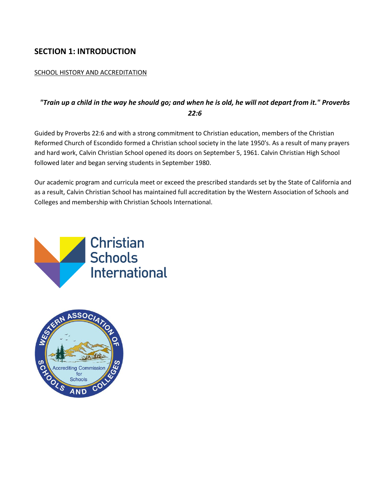# **SECTION 1: INTRODUCTION**

# SCHOOL HISTORY AND ACCREDITATION

# *"Train up a child in the way he should go; and when he is old, he will not depart from it." Proverbs 22:6*

Guided by Proverbs 22:6 and with a strong commitment to Christian education, members of the Christian Reformed Church of Escondido formed a Christian school society in the late 1950's. As a result of many prayers and hard work, Calvin Christian School opened its doors on September 5, 1961. Calvin Christian High School followed later and began serving students in September 1980.

Our academic program and curricula meet or exceed the prescribed standards set by the State of California and as a result, Calvin Christian School has maintained full accreditation by the Western Association of Schools and Colleges and membership with Christian Schools International.



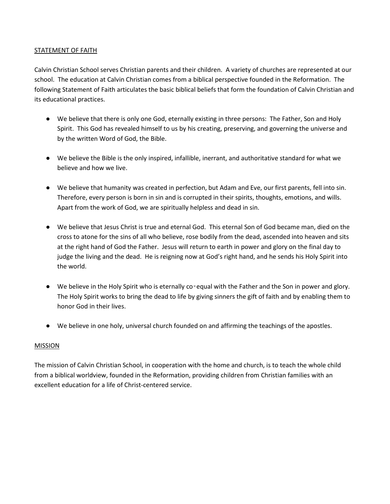# STATEMENT OF FAITH

Calvin Christian School serves Christian parents and their children. A variety of churches are represented at our school. The education at Calvin Christian comes from a biblical perspective founded in the Reformation. The following Statement of Faith articulates the basic biblical beliefs that form the foundation of Calvin Christian and its educational practices.

- We believe that there is only one God, eternally existing in three persons: The Father, Son and Holy Spirit. This God has revealed himself to us by his creating, preserving, and governing the universe and by the written Word of God, the Bible.
- We believe the Bible is the only inspired, infallible, inerrant, and authoritative standard for what we believe and how we live.
- We believe that humanity was created in perfection, but Adam and Eve, our first parents, fell into sin. Therefore, every person is born in sin and is corrupted in their spirits, thoughts, emotions, and wills. Apart from the work of God, we are spiritually helpless and dead in sin.
- We believe that Jesus Christ is true and eternal God. This eternal Son of God became man, died on the cross to atone for the sins of all who believe, rose bodily from the dead, ascended into heaven and sits at the right hand of God the Father. Jesus will return to earth in power and glory on the final day to judge the living and the dead. He is reigning now at God's right hand, and he sends his Holy Spirit into the world.
- We believe in the Holy Spirit who is eternally co‑equal with the Father and the Son in power and glory. The Holy Spirit works to bring the dead to life by giving sinners the gift of faith and by enabling them to honor God in their lives.
- We believe in one holy, universal church founded on and affirming the teachings of the apostles.

# **MISSION**

The mission of Calvin Christian School, in cooperation with the home and church, is to teach the whole child from a biblical worldview, founded in the Reformation, providing children from Christian families with an excellent education for a life of Christ-centered service.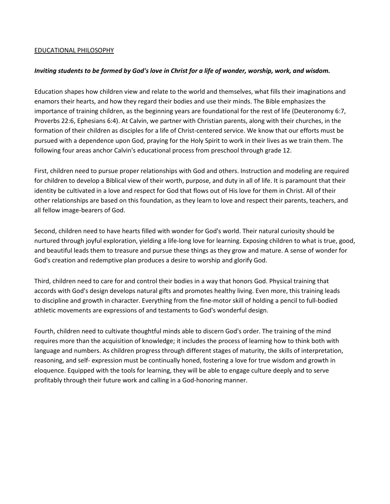# EDUCATIONAL PHILOSOPHY

#### *Inviting students to be formed by God's love in Christ for a life of wonder, worship, work, and wisdom.*

Education shapes how children view and relate to the world and themselves, what fills their imaginations and enamors their hearts, and how they regard their bodies and use their minds. The Bible emphasizes the importance of training children, as the beginning years are foundational for the rest of life (Deuteronomy 6:7, Proverbs 22:6, Ephesians 6:4). At Calvin, we partner with Christian parents, along with their churches, in the formation of their children as disciples for a life of Christ-centered service. We know that our efforts must be pursued with a dependence upon God, praying for the Holy Spirit to work in their lives as we train them. The following four areas anchor Calvin's educational process from preschool through grade 12.

First, children need to pursue proper relationships with God and others. Instruction and modeling are required for children to develop a Biblical view of their worth, purpose, and duty in all of life. It is paramount that their identity be cultivated in a love and respect for God that flows out of His love for them in Christ. All of their other relationships are based on this foundation, as they learn to love and respect their parents, teachers, and all fellow image-bearers of God.

Second, children need to have hearts filled with wonder for God's world. Their natural curiosity should be nurtured through joyful exploration, yielding a life-long love for learning. Exposing children to what is true, good, and beautiful leads them to treasure and pursue these things as they grow and mature. A sense of wonder for God's creation and redemptive plan produces a desire to worship and glorify God.

Third, children need to care for and control their bodies in a way that honors God. Physical training that accords with God's design develops natural gifts and promotes healthy living. Even more, this training leads to discipline and growth in character. Everything from the fine-motor skill of holding a pencil to full-bodied athletic movements are expressions of and testaments to God's wonderful design.

Fourth, children need to cultivate thoughtful minds able to discern God's order. The training of the mind requires more than the acquisition of knowledge; it includes the process of learning how to think both with language and numbers. As children progress through different stages of maturity, the skills of interpretation, reasoning, and self- expression must be continually honed, fostering a love for true wisdom and growth in eloquence. Equipped with the tools for learning, they will be able to engage culture deeply and to serve profitably through their future work and calling in a God-honoring manner.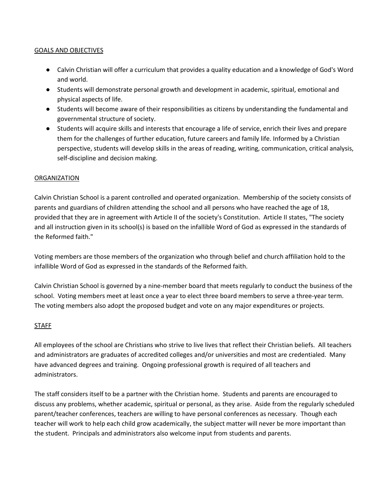# GOALS AND OBJECTIVES

- Calvin Christian will offer a curriculum that provides a quality education and a knowledge of God's Word and world.
- Students will demonstrate personal growth and development in academic, spiritual, emotional and physical aspects of life.
- Students will become aware of their responsibilities as citizens by understanding the fundamental and governmental structure of society.
- Students will acquire skills and interests that encourage a life of service, enrich their lives and prepare them for the challenges of further education, future careers and family life. Informed by a Christian perspective, students will develop skills in the areas of reading, writing, communication, critical analysis, self-discipline and decision making.

# ORGANIZATION

Calvin Christian School is a parent controlled and operated organization. Membership of the society consists of parents and guardians of children attending the school and all persons who have reached the age of 18, provided that they are in agreement with Article II of the society's Constitution. Article II states, "The society and all instruction given in its school(s) is based on the infallible Word of God as expressed in the standards of the Reformed faith."

Voting members are those members of the organization who through belief and church affiliation hold to the infallible Word of God as expressed in the standards of the Reformed faith.

Calvin Christian School is governed by a nine-member board that meets regularly to conduct the business of the school. Voting members meet at least once a year to elect three board members to serve a three-year term. The voting members also adopt the proposed budget and vote on any major expenditures or projects.

# STAFF

All employees of the school are Christians who strive to live lives that reflect their Christian beliefs. All teachers and administrators are graduates of accredited colleges and/or universities and most are credentialed. Many have advanced degrees and training. Ongoing professional growth is required of all teachers and administrators.

The staff considers itself to be a partner with the Christian home. Students and parents are encouraged to discuss any problems, whether academic, spiritual or personal, as they arise. Aside from the regularly scheduled parent/teacher conferences, teachers are willing to have personal conferences as necessary. Though each teacher will work to help each child grow academically, the subject matter will never be more important than the student. Principals and administrators also welcome input from students and parents.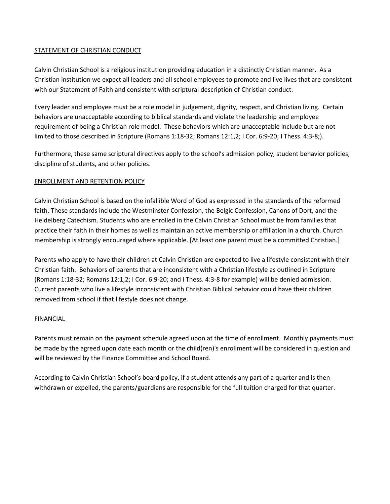# STATEMENT OF CHRISTIAN CONDUCT

Calvin Christian School is a religious institution providing education in a distinctly Christian manner. As a Christian institution we expect all leaders and all school employees to promote and live lives that are consistent with our Statement of Faith and consistent with scriptural description of Christian conduct.

Every leader and employee must be a role model in judgement, dignity, respect, and Christian living. Certain behaviors are unacceptable according to biblical standards and violate the leadership and employee requirement of being a Christian role model. These behaviors which are unacceptable include but are not limited to those described in Scripture (Romans 1:18-32; Romans 12:1,2; I Cor. 6:9-20; I Thess. 4:3-8;).

Furthermore, these same scriptural directives apply to the school's admission policy, student behavior policies, discipline of students, and other policies.

# ENROLLMENT AND RETENTION POLICY

Calvin Christian School is based on the infallible Word of God as expressed in the standards of the reformed faith. These standards include the Westminster Confession, the Belgic Confession, Canons of Dort, and the Heidelberg Catechism. Students who are enrolled in the Calvin Christian School must be from families that practice their faith in their homes as well as maintain an active membership or affiliation in a church. Church membership is strongly encouraged where applicable. [At least one parent must be a committed Christian.]

Parents who apply to have their children at Calvin Christian are expected to live a lifestyle consistent with their Christian faith. Behaviors of parents that are inconsistent with a Christian lifestyle as outlined in Scripture (Romans 1:18-32; Romans 12:1,2; I Cor. 6:9-20; and I Thess. 4:3-8 for example) will be denied admission. Current parents who live a lifestyle inconsistent with Christian Biblical behavior could have their children removed from school if that lifestyle does not change.

# FINANCIAL

Parents must remain on the payment schedule agreed upon at the time of enrollment. Monthly payments must be made by the agreed upon date each month or the child(ren)'s enrollment will be considered in question and will be reviewed by the Finance Committee and School Board.

According to Calvin Christian School's board policy, if a student attends any part of a quarter and is then withdrawn or expelled, the parents/guardians are responsible for the full tuition charged for that quarter.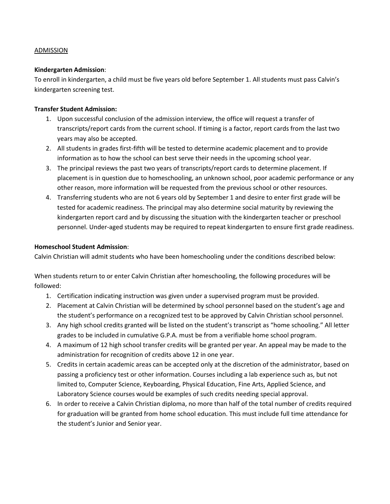# ADMISSION

# **Kindergarten Admission**:

To enroll in kindergarten, a child must be five years old before September 1. All students must pass Calvin's kindergarten screening test.

# **Transfer Student Admission:**

- 1. Upon successful conclusion of the admission interview, the office will request a transfer of transcripts/report cards from the current school. If timing is a factor, report cards from the last two years may also be accepted.
- 2. All students in grades first-fifth will be tested to determine academic placement and to provide information as to how the school can best serve their needs in the upcoming school year.
- 3. The principal reviews the past two years of transcripts/report cards to determine placement. If placement is in question due to homeschooling, an unknown school, poor academic performance or any other reason, more information will be requested from the previous school or other resources.
- 4. Transferring students who are not 6 years old by September 1 and desire to enter first grade will be tested for academic readiness. The principal may also determine social maturity by reviewing the kindergarten report card and by discussing the situation with the kindergarten teacher or preschool personnel. Under-aged students may be required to repeat kindergarten to ensure first grade readiness.

# **Homeschool Student Admission**:

Calvin Christian will admit students who have been homeschooling under the conditions described below:

When students return to or enter Calvin Christian after homeschooling, the following procedures will be followed:

- 1. Certification indicating instruction was given under a supervised program must be provided.
- 2. Placement at Calvin Christian will be determined by school personnel based on the student's age and the student's performance on a recognized test to be approved by Calvin Christian school personnel.
- 3. Any high school credits granted will be listed on the student's transcript as "home schooling." All letter grades to be included in cumulative G.P.A. must be from a verifiable home school program.
- 4. A maximum of 12 high school transfer credits will be granted per year. An appeal may be made to the administration for recognition of credits above 12 in one year.
- 5. Credits in certain academic areas can be accepted only at the discretion of the administrator, based on passing a proficiency test or other information. Courses including a lab experience such as, but not limited to, Computer Science, Keyboarding, Physical Education, Fine Arts, Applied Science, and Laboratory Science courses would be examples of such credits needing special approval.
- 6. In order to receive a Calvin Christian diploma, no more than half of the total number of credits required for graduation will be granted from home school education. This must include full time attendance for the student's Junior and Senior year.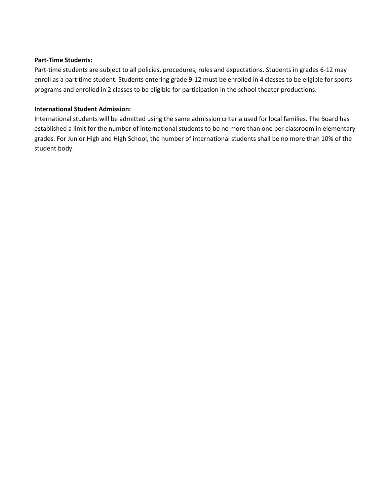#### **Part-Time Students:**

Part-time students are subject to all policies, procedures, rules and expectations. Students in grades 6-12 may enroll as a part time student. Students entering grade 9-12 must be enrolled in 4 classes to be eligible for sports programs and enrolled in 2 classes to be eligible for participation in the school theater productions.

# **International Student Admission:**

International students will be admitted using the same admission criteria used for local families. The Board has established a limit for the number of international students to be no more than one per classroom in elementary grades. For Junior High and High School, the number of international students shall be no more than 10% of the student body.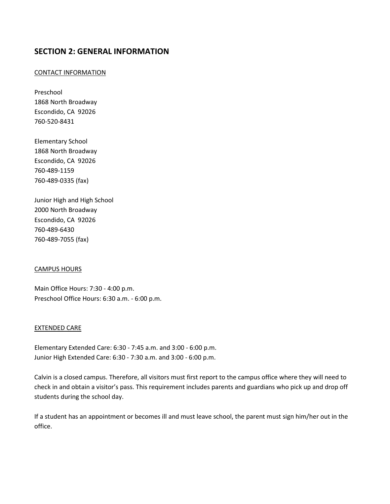# **SECTION 2: GENERAL INFORMATION**

# CONTACT INFORMATION

Preschool 1868 North Broadway Escondido, CA 92026 760-520-8431

Elementary School 1868 North Broadway Escondido, CA 92026 760-489-1159 760-489-0335 (fax)

Junior High and High School 2000 North Broadway Escondido, CA 92026 760-489-6430 760-489-7055 (fax)

#### CAMPUS HOURS

Main Office Hours: 7:30 - 4:00 p.m. Preschool Office Hours: 6:30 a.m. - 6:00 p.m.

#### EXTENDED CARE

Elementary Extended Care: 6:30 - 7:45 a.m. and 3:00 - 6:00 p.m. Junior High Extended Care: 6:30 - 7:30 a.m. and 3:00 - 6:00 p.m.

Calvin is a closed campus. Therefore, all visitors must first report to the campus office where they will need to check in and obtain a visitor's pass. This requirement includes parents and guardians who pick up and drop off students during the school day.

If a student has an appointment or becomes ill and must leave school, the parent must sign him/her out in the office.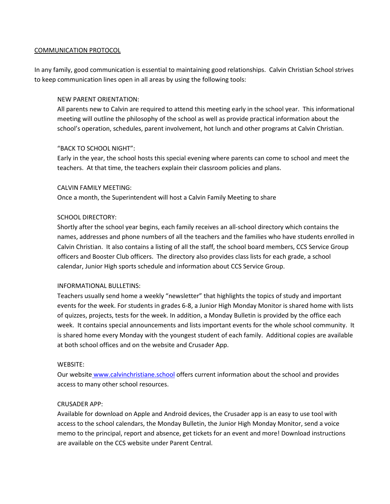#### COMMUNICATION PROTOCOL

In any family, good communication is essential to maintaining good relationships. Calvin Christian School strives to keep communication lines open in all areas by using the following tools:

#### NEW PARENT ORIENTATION:

All parents new to Calvin are required to attend this meeting early in the school year. This informational meeting will outline the philosophy of the school as well as provide practical information about the school's operation, schedules, parent involvement, hot lunch and other programs at Calvin Christian.

# "BACK TO SCHOOL NIGHT":

Early in the year, the school hosts this special evening where parents can come to school and meet the teachers. At that time, the teachers explain their classroom policies and plans.

#### CALVIN FAMILY MEETING:

Once a month, the Superintendent will host a Calvin Family Meeting to share

# SCHOOL DIRECTORY:

Shortly after the school year begins, each family receives an all-school directory which contains the names, addresses and phone numbers of all the teachers and the families who have students enrolled in Calvin Christian. It also contains a listing of all the staff, the school board members, CCS Service Group officers and Booster Club officers. The directory also provides class lists for each grade, a school calendar, Junior High sports schedule and information about CCS Service Group.

#### INFORMATIONAL BULLETINS:

Teachers usually send home a weekly "newsletter" that highlights the topics of study and important events for the week. For students in grades 6-8, a Junior High Monday Monitor is shared home with lists of quizzes, projects, tests for the week. In addition, a Monday Bulletin is provided by the office each week. It contains special announcements and lists important events for the whole school community. It is shared home every Monday with the youngest student of each family. Additional copies are available at both school offices and on the website and Crusader App.

#### WEBSITE:

Our website www.calvinchristiane.school offers current information about the school and provides access to many other school resources.

#### CRUSADER APP:

Available for download on Apple and Android devices, the Crusader app is an easy to use tool with access to the school calendars, the Monday Bulletin, the Junior High Monday Monitor, send a voice memo to the principal, report and absence, get tickets for an event and more! Download instructions are available on the CCS website under Parent Central.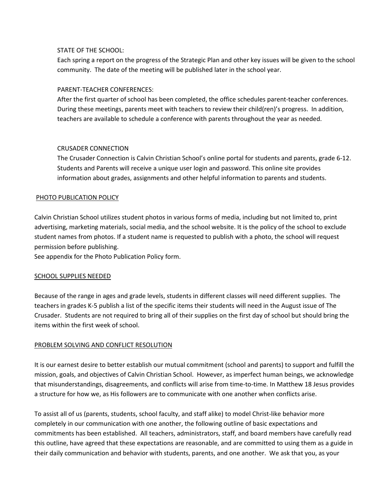# STATE OF THE SCHOOL:

Each spring a report on the progress of the Strategic Plan and other key issues will be given to the school community. The date of the meeting will be published later in the school year.

# PARENT-TEACHER CONFERENCES:

After the first quarter of school has been completed, the office schedules parent-teacher conferences. During these meetings, parents meet with teachers to review their child(ren)'s progress. In addition, teachers are available to schedule a conference with parents throughout the year as needed.

# CRUSADER CONNECTION

The Crusader Connection is Calvin Christian School's online portal for students and parents, grade 6-12. Students and Parents will receive a unique user login and password. This online site provides information about grades, assignments and other helpful information to parents and students.

# PHOTO PUBLICATION POLICY

Calvin Christian School utilizes student photos in various forms of media, including but not limited to, print advertising, marketing materials, social media, and the school website. It is the policy of the school to exclude student names from photos. If a student name is requested to publish with a photo, the school will request permission before publishing.

See appendix for the Photo Publication Policy form.

# SCHOOL SUPPLIES NEEDED

Because of the range in ages and grade levels, students in different classes will need different supplies. The teachers in grades K-5 publish a list of the specific items their students will need in the August issue of The Crusader. Students are not required to bring all of their supplies on the first day of school but should bring the items within the first week of school.

# PROBLEM SOLVING AND CONFLICT RESOLUTION

It is our earnest desire to better establish our mutual commitment (school and parents) to support and fulfill the mission, goals, and objectives of Calvin Christian School. However, as imperfect human beings, we acknowledge that misunderstandings, disagreements, and conflicts will arise from time-to-time. In Matthew 18 Jesus provides a structure for how we, as His followers are to communicate with one another when conflicts arise.

To assist all of us (parents, students, school faculty, and staff alike) to model Christ-like behavior more completely in our communication with one another, the following outline of basic expectations and commitments has been established. All teachers, administrators, staff, and board members have carefully read this outline, have agreed that these expectations are reasonable, and are committed to using them as a guide in their daily communication and behavior with students, parents, and one another. We ask that you, as your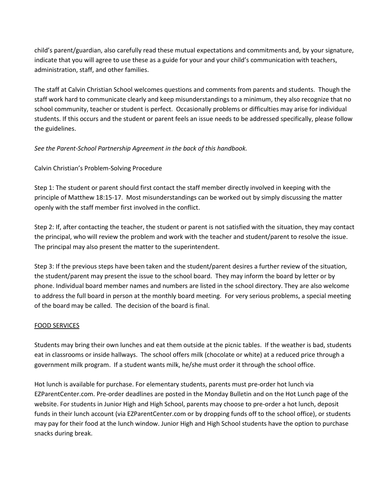child's parent/guardian, also carefully read these mutual expectations and commitments and, by your signature, indicate that you will agree to use these as a guide for your and your child's communication with teachers, administration, staff, and other families.

The staff at Calvin Christian School welcomes questions and comments from parents and students. Though the staff work hard to communicate clearly and keep misunderstandings to a minimum, they also recognize that no school community, teacher or student is perfect. Occasionally problems or difficulties may arise for individual students. If this occurs and the student or parent feels an issue needs to be addressed specifically, please follow the guidelines.

# *See the Parent-School Partnership Agreement in the back of this handbook.*

# Calvin Christian's Problem-Solving Procedure

Step 1: The student or parent should first contact the staff member directly involved in keeping with the principle of Matthew 18:15-17. Most misunderstandings can be worked out by simply discussing the matter openly with the staff member first involved in the conflict.

Step 2: If, after contacting the teacher, the student or parent is not satisfied with the situation, they may contact the principal, who will review the problem and work with the teacher and student/parent to resolve the issue. The principal may also present the matter to the superintendent.

Step 3: If the previous steps have been taken and the student/parent desires a further review of the situation, the student/parent may present the issue to the school board. They may inform the board by letter or by phone. Individual board member names and numbers are listed in the school directory. They are also welcome to address the full board in person at the monthly board meeting. For very serious problems, a special meeting of the board may be called. The decision of the board is final.

# FOOD SERVICES

Students may bring their own lunches and eat them outside at the picnic tables. If the weather is bad, students eat in classrooms or inside hallways. The school offers milk (chocolate or white) at a reduced price through a government milk program. If a student wants milk, he/she must order it through the school office.

Hot lunch is available for purchase. For elementary students, parents must pre-order hot lunch via EZParentCenter.com. Pre-order deadlines are posted in the Monday Bulletin and on the Hot Lunch page of the website. For students in Junior High and High School, parents may choose to pre-order a hot lunch, deposit funds in their lunch account (via EZParentCenter.com or by dropping funds off to the school office), or students may pay for their food at the lunch window. Junior High and High School students have the option to purchase snacks during break.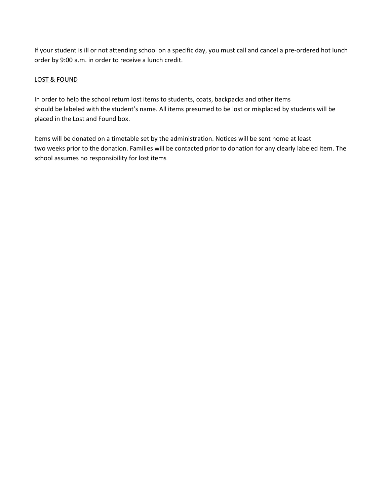If your student is ill or not attending school on a specific day, you must call and cancel a pre-ordered hot lunch order by 9:00 a.m. in order to receive a lunch credit.

# LOST & FOUND

In order to help the school return lost items to students, coats, backpacks and other items should be labeled with the student's name. All items presumed to be lost or misplaced by students will be placed in the Lost and Found box.

Items will be donated on a timetable set by the administration. Notices will be sent home at least two weeks prior to the donation. Families will be contacted prior to donation for any clearly labeled item. The school assumes no responsibility for lost items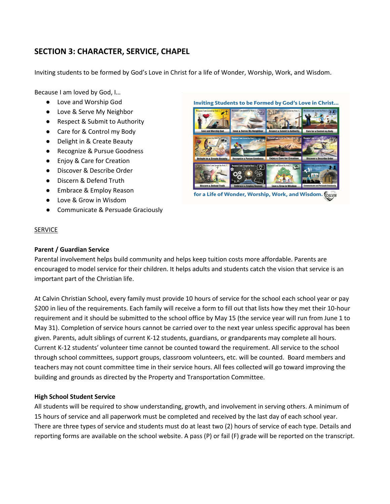# **SECTION 3: CHARACTER, SERVICE, CHAPEL**

Inviting students to be formed by God's Love in Christ for a life of Wonder, Worship, Work, and Wisdom.

Because I am loved by God, I…

- Love and Worship God
- Love & Serve My Neighbor
- Respect & Submit to Authority
- Care for & Control my Body
- Delight in & Create Beauty
- Recognize & Pursue Goodness
- Enjoy & Care for Creation
- Discover & Describe Order
- Discern & Defend Truth
- Embrace & Employ Reason
- Love & Grow in Wisdom
- **Communicate & Persuade Graciously**

# Inviting Students to be Formed by God's Love in Christ...



for a Life of Wonder, Worship, Work, and Wisdom. CALVIN

#### **SERVICE**

# **Parent / Guardian Service**

Parental involvement helps build community and helps keep tuition costs more affordable. Parents are encouraged to model service for their children. It helps adults and students catch the vision that service is an important part of the Christian life.

At Calvin Christian School, every family must provide 10 hours of service for the school each school year or pay \$200 in lieu of the requirements. Each family will receive a form to fill out that lists how they met their 10-hour requirement and it should be submitted to the school office by May 15 (the service year will run from June 1 to May 31). Completion of service hours cannot be carried over to the next year unless specific approval has been given. Parents, adult siblings of current K-12 students, guardians, or grandparents may complete all hours. Current K-12 students' volunteer time cannot be counted toward the requirement. All service to the school through school committees, support groups, classroom volunteers, etc. will be counted. Board members and teachers may not count committee time in their service hours. All fees collected will go toward improving the building and grounds as directed by the Property and Transportation Committee.

# **High School Student Service**

All students will be required to show understanding, growth, and involvement in serving others. A minimum of 15 hours of service and all paperwork must be completed and received by the last day of each school year. There are three types of service and students must do at least two (2) hours of service of each type. Details and reporting forms are available on the school website. A pass (P) or fail (F) grade will be reported on the transcript.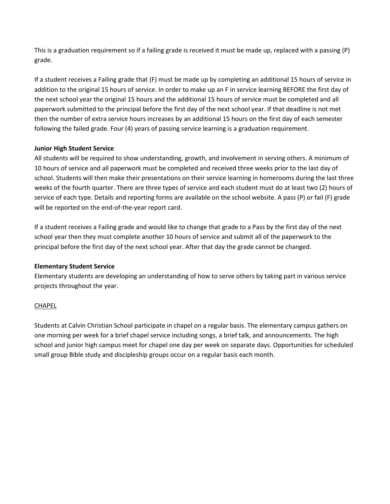This is a graduation requirement so if a failing grade is received it must be made up, replaced with a passing (P) grade.

If a student receives a Failing grade that (F) must be made up by completing an additional 15 hours of service in addition to the original 15 hours of service. In order to make up an F in service learning BEFORE the first day of the next school year the original 15 hours and the additional 15 hours of service must be completed and all paperwork submitted to the principal before the first day of the next school year. If that deadline is not met then the number of extra service hours increases by an additional 15 hours on the first day of each semester following the failed grade. Four (4) years of passing service learning is a graduation requirement.

# **Junior High Student Service**

All students will be required to show understanding, growth, and involvement in serving others. A minimum of 10 hours of service and all paperwork must be completed and received three weeks prior to the last day of school. Students will then make their presentations on their service learning in homerooms during the last three weeks of the fourth quarter. There are three types of service and each student must do at least two (2) hours of service of each type. Details and reporting forms are available on the school website. A pass (P) or fail (F) grade will be reported on the end-of-the-year report card.

If a student receives a Failing grade and would like to change that grade to a Pass by the first day of the next school year then they must complete another 10 hours of service and submit all of the paperwork to the principal before the first day of the next school year. After that day the grade cannot be changed.

# **Elementary Student Service**

Elementary students are developing an understanding of how to serve others by taking part in various service projects throughout the year.

# CHAPEL

Students at Calvin Christian School participate in chapel on a regular basis. The elementary campus gathers on one morning per week for a brief chapel service including songs, a brief talk, and announcements. The high school and junior high campus meet for chapel one day per week on separate days. Opportunities for scheduled small group Bible study and discipleship groups occur on a regular basis each month.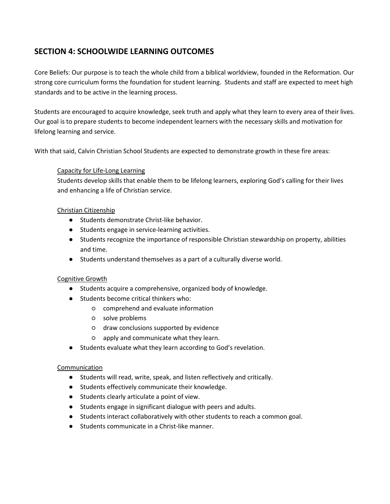# **SECTION 4: SCHOOLWIDE LEARNING OUTCOMES**

Core Beliefs: Our purpose is to teach the whole child from a biblical worldview, founded in the Reformation. Our strong core curriculum forms the foundation for student learning. Students and staff are expected to meet high standards and to be active in the learning process.

Students are encouraged to acquire knowledge, seek truth and apply what they learn to every area of their lives. Our goal is to prepare students to become independent learners with the necessary skills and motivation for lifelong learning and service.

With that said, Calvin Christian School Students are expected to demonstrate growth in these fire areas:

# Capacity for Life-Long Learning

Students develop skills that enable them to be lifelong learners, exploring God's calling for their lives and enhancing a life of Christian service.

# Christian Citizenship

- Students demonstrate Christ-like behavior.
- Students engage in service-learning activities.
- Students recognize the importance of responsible Christian stewardship on property, abilities and time.
- Students understand themselves as a part of a culturally diverse world.

# Cognitive Growth

- Students acquire a comprehensive, organized body of knowledge.
- Students become critical thinkers who:
	- comprehend and evaluate information
	- solve problems
	- draw conclusions supported by evidence
	- apply and communicate what they learn.
- Students evaluate what they learn according to God's revelation.

# Communication

- Students will read, write, speak, and listen reflectively and critically.
- Students effectively communicate their knowledge.
- Students clearly articulate a point of view.
- Students engage in significant dialogue with peers and adults.
- Students interact collaboratively with other students to reach a common goal.
- Students communicate in a Christ-like manner.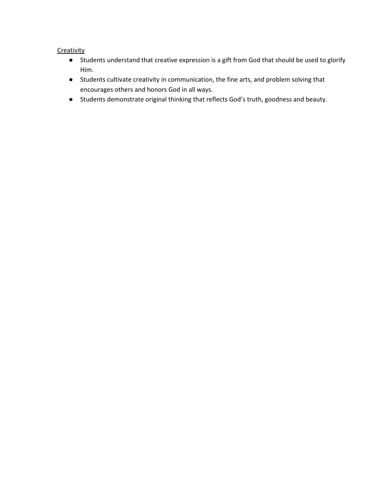# **Creativity**

- Students understand that creative expression is a gift from God that should be used to glorify Him.
- Students cultivate creativity in communication, the fine arts, and problem solving that encourages others and honors God in all ways.
- Students demonstrate original thinking that reflects God's truth, goodness and beauty.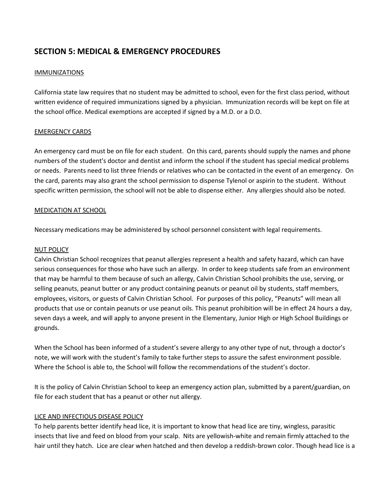# **SECTION 5: MEDICAL & EMERGENCY PROCEDURES**

# **IMMUNIZATIONS**

California state law requires that no student may be admitted to school, even for the first class period, without written evidence of required immunizations signed by a physician. Immunization records will be kept on file at the school office. Medical exemptions are accepted if signed by a M.D. or a D.O.

# EMERGENCY CARDS

An emergency card must be on file for each student. On this card, parents should supply the names and phone numbers of the student's doctor and dentist and inform the school if the student has special medical problems or needs. Parents need to list three friends or relatives who can be contacted in the event of an emergency. On the card, parents may also grant the school permission to dispense Tylenol or aspirin to the student. Without specific written permission, the school will not be able to dispense either. Any allergies should also be noted.

# MEDICATION AT SCHOOL

Necessary medications may be administered by school personnel consistent with legal requirements.

# NUT POLICY

Calvin Christian School recognizes that peanut allergies represent a health and safety hazard, which can have serious consequences for those who have such an allergy. In order to keep students safe from an environment that may be harmful to them because of such an allergy, Calvin Christian School prohibits the use, serving, or selling peanuts, peanut butter or any product containing peanuts or peanut oil by students, staff members, employees, visitors, or guests of Calvin Christian School. For purposes of this policy, "Peanuts" will mean all products that use or contain peanuts or use peanut oils. This peanut prohibition will be in effect 24 hours a day, seven days a week, and will apply to anyone present in the Elementary, Junior High or High School Buildings or grounds.

When the School has been informed of a student's severe allergy to any other type of nut, through a doctor's note, we will work with the student's family to take further steps to assure the safest environment possible. Where the School is able to, the School will follow the recommendations of the student's doctor.

It is the policy of Calvin Christian School to keep an emergency action plan, submitted by a parent/guardian, on file for each student that has a peanut or other nut allergy.

# LICE AND INFECTIOUS DISEASE POLICY

To help parents better identify head lice, it is important to know that head lice are tiny, wingless, parasitic insects that live and feed on blood from your scalp. Nits are yellowish-white and remain firmly attached to the hair until they hatch. Lice are clear when hatched and then develop a reddish-brown color. Though head lice is a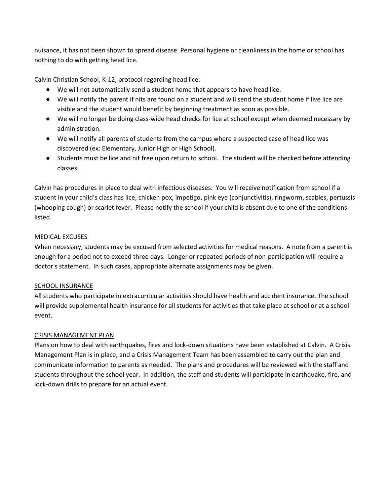nuisance, it has not been shown to spread disease. Personal hygiene or cleanliness in the home or school has nothing to do with getting head lice.

Calvin Christian School, K-12, protocol regarding head lice:

- We will not automatically send a student home that appears to have head lice.
- We will notify the parent if nits are found on a student and will send the student home if live lice are visible and the student would benefit by beginning treatment as soon as possible.
- We will no longer be doing class-wide head checks for lice at school except when deemed necessary by administration.
- We will notify all parents of students from the campus where a suspected case of head lice was discovered (ex: Elementary, Junior High or High School).
- Students must be lice and nit free upon return to school. The student will be checked before attending classes.

Calvin has procedures in place to deal with infectious diseases. You will receive notification from school if a student in your child's class has lice, chicken pox, impetigo, pink eye (conjunctivitis), ringworm, scabies, pertussis (whooping cough) or scarlet fever. Please notify the school if your child is absent due to one of the conditions listed.

# MEDICAL EXCUSES

When necessary, students may be excused from selected activities for medical reasons. A note from a parent is enough for a period not to exceed three days. Longer or repeated periods of non-participation will require a doctor's statement. In such cases, appropriate alternate assignments may be given.

# **SCHOOL INSURANCE**

All students who participate in extracurricular activities should have health and accident insurance. The school will provide supplemental health insurance for all students for activities that take place at school or at a school event.

# CRISIS MANAGEMENT PLAN

Plans on how to deal with earthquakes, fires and lock-down situations have been established at Calvin. A Crisis Management Plan is in place, and a Crisis Management Team has been assembled to carry out the plan and communicate information to parents as needed. The plans and procedures will be reviewed with the staff and students throughout the school year. In addition, the staff and students will participate in earthquake, fire, and lock-down drills to prepare for an actual event.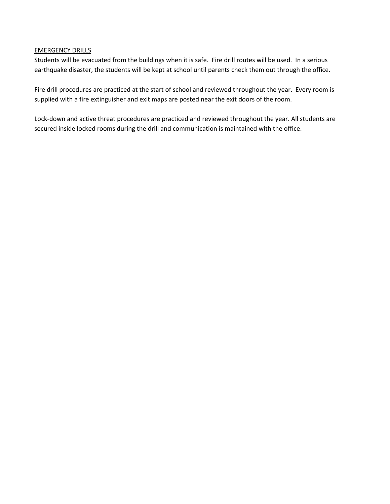# EMERGENCY DRILLS

Students will be evacuated from the buildings when it is safe. Fire drill routes will be used. In a serious earthquake disaster, the students will be kept at school until parents check them out through the office.

Fire drill procedures are practiced at the start of school and reviewed throughout the year. Every room is supplied with a fire extinguisher and exit maps are posted near the exit doors of the room.

Lock-down and active threat procedures are practiced and reviewed throughout the year. All students are secured inside locked rooms during the drill and communication is maintained with the office.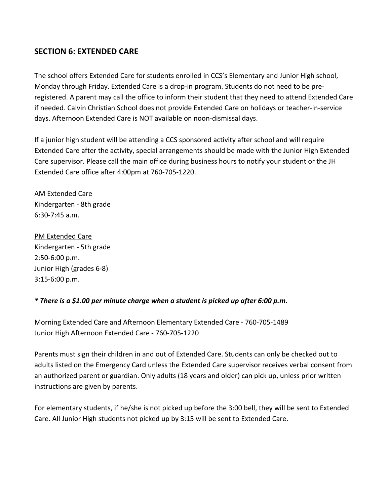# **SECTION 6: EXTENDED CARE**

The school offers Extended Care for students enrolled in CCS's Elementary and Junior High school, Monday through Friday. Extended Care is a drop-in program. Students do not need to be preregistered. A parent may call the office to inform their student that they need to attend Extended Care if needed. Calvin Christian School does not provide Extended Care on holidays or teacher-in-service days. Afternoon Extended Care is NOT available on noon-dismissal days.

If a junior high student will be attending a CCS sponsored activity after school and will require Extended Care after the activity, special arrangements should be made with the Junior High Extended Care supervisor. Please call the main office during business hours to notify your student or the JH Extended Care office after 4:00pm at 760-705-1220.

AM Extended Care Kindergarten - 8th grade 6:30-7:45 a.m.

PM Extended Care Kindergarten - 5th grade 2:50-6:00 p.m. Junior High (grades 6-8) 3:15-6:00 p.m.

# *\* There is a \$1.00 per minute charge when a student is picked up after 6:00 p.m.*

Morning Extended Care and Afternoon Elementary Extended Care - 760-705-1489 Junior High Afternoon Extended Care - 760-705-1220

Parents must sign their children in and out of Extended Care. Students can only be checked out to adults listed on the Emergency Card unless the Extended Care supervisor receives verbal consent from an authorized parent or guardian. Only adults (18 years and older) can pick up, unless prior written instructions are given by parents.

For elementary students, if he/she is not picked up before the 3:00 bell, they will be sent to Extended Care. All Junior High students not picked up by 3:15 will be sent to Extended Care.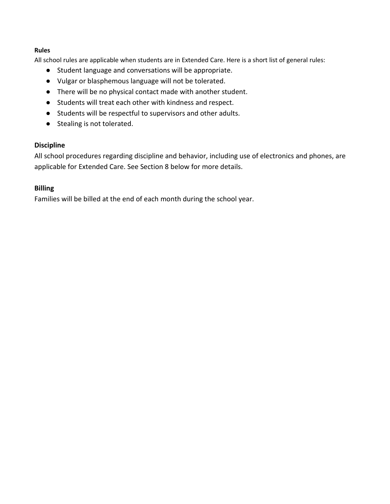# **Rules**

All school rules are applicable when students are in Extended Care. Here is a short list of general rules:

- Student language and conversations will be appropriate.
- Vulgar or blasphemous language will not be tolerated.
- There will be no physical contact made with another student.
- Students will treat each other with kindness and respect.
- Students will be respectful to supervisors and other adults.
- Stealing is not tolerated.

# **Discipline**

All school procedures regarding discipline and behavior, including use of electronics and phones, are applicable for Extended Care. See Section 8 below for more details.

# **Billing**

Families will be billed at the end of each month during the school year.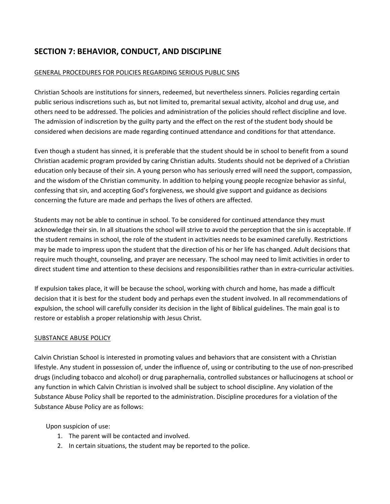# **SECTION 7: BEHAVIOR, CONDUCT, AND DISCIPLINE**

# GENERAL PROCEDURES FOR POLICIES REGARDING SERIOUS PUBLIC SINS

Christian Schools are institutions for sinners, redeemed, but nevertheless sinners. Policies regarding certain public serious indiscretions such as, but not limited to, premarital sexual activity, alcohol and drug use, and others need to be addressed. The policies and administration of the policies should reflect discipline and love. The admission of indiscretion by the guilty party and the effect on the rest of the student body should be considered when decisions are made regarding continued attendance and conditions for that attendance.

Even though a student has sinned, it is preferable that the student should be in school to benefit from a sound Christian academic program provided by caring Christian adults. Students should not be deprived of a Christian education only because of their sin. A young person who has seriously erred will need the support, compassion, and the wisdom of the Christian community. In addition to helping young people recognize behavior as sinful, confessing that sin, and accepting God's forgiveness, we should give support and guidance as decisions concerning the future are made and perhaps the lives of others are affected.

Students may not be able to continue in school. To be considered for continued attendance they must acknowledge their sin. In all situations the school will strive to avoid the perception that the sin is acceptable. If the student remains in school, the role of the student in activities needs to be examined carefully. Restrictions may be made to impress upon the student that the direction of his or her life has changed. Adult decisions that require much thought, counseling, and prayer are necessary. The school may need to limit activities in order to direct student time and attention to these decisions and responsibilities rather than in extra-curricular activities.

If expulsion takes place, it will be because the school, working with church and home, has made a difficult decision that it is best for the student body and perhaps even the student involved. In all recommendations of expulsion, the school will carefully consider its decision in the light of Biblical guidelines. The main goal is to restore or establish a proper relationship with Jesus Christ.

# SUBSTANCE ABUSE POLICY

Calvin Christian School is interested in promoting values and behaviors that are consistent with a Christian lifestyle. Any student in possession of, under the influence of, using or contributing to the use of non-prescribed drugs (including tobacco and alcohol) or drug paraphernalia, controlled substances or hallucinogens at school or any function in which Calvin Christian is involved shall be subject to school discipline. Any violation of the Substance Abuse Policy shall be reported to the administration. Discipline procedures for a violation of the Substance Abuse Policy are as follows:

Upon suspicion of use:

- 1. The parent will be contacted and involved.
- 2. In certain situations, the student may be reported to the police.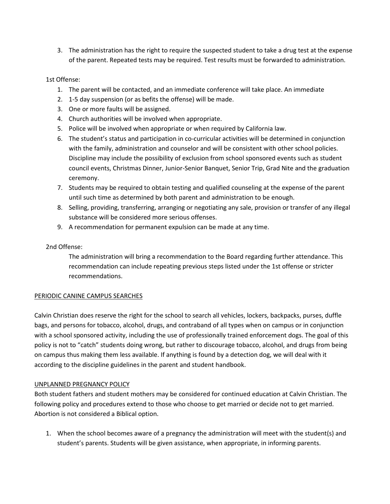3. The administration has the right to require the suspected student to take a drug test at the expense of the parent. Repeated tests may be required. Test results must be forwarded to administration.

# 1st Offense:

- 1. The parent will be contacted, and an immediate conference will take place. An immediate
- 2. 1-5 day suspension (or as befits the offense) will be made.
- 3. One or more faults will be assigned.
- 4. Church authorities will be involved when appropriate.
- 5. Police will be involved when appropriate or when required by California law.
- 6. The student's status and participation in co-curricular activities will be determined in conjunction with the family, administration and counselor and will be consistent with other school policies. Discipline may include the possibility of exclusion from school sponsored events such as student council events, Christmas Dinner, Junior-Senior Banquet, Senior Trip, Grad Nite and the graduation ceremony.
- 7. Students may be required to obtain testing and qualified counseling at the expense of the parent until such time as determined by both parent and administration to be enough.
- 8. Selling, providing, transferring, arranging or negotiating any sale, provision or transfer of any illegal substance will be considered more serious offenses.
- 9. A recommendation for permanent expulsion can be made at any time.

# 2nd Offense:

The administration will bring a recommendation to the Board regarding further attendance. This recommendation can include repeating previous steps listed under the 1st offense or stricter recommendations.

# PERIODIC CANINE CAMPUS SEARCHES

Calvin Christian does reserve the right for the school to search all vehicles, lockers, backpacks, purses, duffle bags, and persons for tobacco, alcohol, drugs, and contraband of all types when on campus or in conjunction with a school sponsored activity, including the use of professionally trained enforcement dogs. The goal of this policy is not to "catch" students doing wrong, but rather to discourage tobacco, alcohol, and drugs from being on campus thus making them less available. If anything is found by a detection dog, we will deal with it according to the discipline guidelines in the parent and student handbook.

# UNPLANNED PREGNANCY POLICY

Both student fathers and student mothers may be considered for continued education at Calvin Christian. The following policy and procedures extend to those who choose to get married or decide not to get married. Abortion is not considered a Biblical option.

1. When the school becomes aware of a pregnancy the administration will meet with the student(s) and student's parents. Students will be given assistance, when appropriate, in informing parents.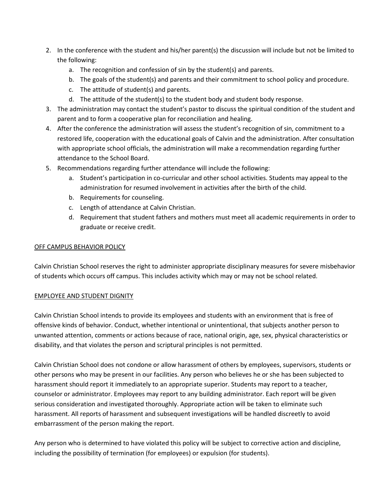- 2. In the conference with the student and his/her parent(s) the discussion will include but not be limited to the following:
	- a. The recognition and confession of sin by the student(s) and parents.
	- b. The goals of the student(s) and parents and their commitment to school policy and procedure.
	- c. The attitude of student(s) and parents.
	- d. The attitude of the student(s) to the student body and student body response.
- 3. The administration may contact the student's pastor to discuss the spiritual condition of the student and parent and to form a cooperative plan for reconciliation and healing.
- 4. After the conference the administration will assess the student's recognition of sin, commitment to a restored life, cooperation with the educational goals of Calvin and the administration. After consultation with appropriate school officials, the administration will make a recommendation regarding further attendance to the School Board.
- 5. Recommendations regarding further attendance will include the following:
	- a. Student's participation in co-curricular and other school activities. Students may appeal to the administration for resumed involvement in activities after the birth of the child.
	- b. Requirements for counseling.
	- c. Length of attendance at Calvin Christian.
	- d. Requirement that student fathers and mothers must meet all academic requirements in order to graduate or receive credit.

# OFF CAMPUS BEHAVIOR POLICY

Calvin Christian School reserves the right to administer appropriate disciplinary measures for severe misbehavior of students which occurs off campus. This includes activity which may or may not be school related.

# EMPLOYEE AND STUDENT DIGNITY

Calvin Christian School intends to provide its employees and students with an environment that is free of offensive kinds of behavior. Conduct, whether intentional or unintentional, that subjects another person to unwanted attention, comments or actions because of race, national origin, age, sex, physical characteristics or disability, and that violates the person and scriptural principles is not permitted.

Calvin Christian School does not condone or allow harassment of others by employees, supervisors, students or other persons who may be present in our facilities. Any person who believes he or she has been subjected to harassment should report it immediately to an appropriate superior. Students may report to a teacher, counselor or administrator. Employees may report to any building administrator. Each report will be given serious consideration and investigated thoroughly. Appropriate action will be taken to eliminate such harassment. All reports of harassment and subsequent investigations will be handled discreetly to avoid embarrassment of the person making the report.

Any person who is determined to have violated this policy will be subject to corrective action and discipline, including the possibility of termination (for employees) or expulsion (for students).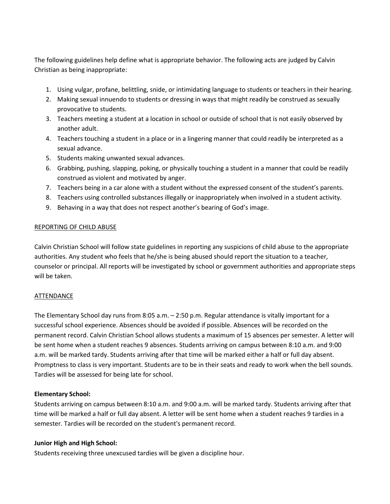The following guidelines help define what is appropriate behavior. The following acts are judged by Calvin Christian as being inappropriate:

- 1. Using vulgar, profane, belittling, snide, or intimidating language to students or teachers in their hearing.
- 2. Making sexual innuendo to students or dressing in ways that might readily be construed as sexually provocative to students.
- 3. Teachers meeting a student at a location in school or outside of school that is not easily observed by another adult.
- 4. Teachers touching a student in a place or in a lingering manner that could readily be interpreted as a sexual advance.
- 5. Students making unwanted sexual advances.
- 6. Grabbing, pushing, slapping, poking, or physically touching a student in a manner that could be readily construed as violent and motivated by anger.
- 7. Teachers being in a car alone with a student without the expressed consent of the student's parents.
- 8. Teachers using controlled substances illegally or inappropriately when involved in a student activity.
- 9. Behaving in a way that does not respect another's bearing of God's image.

#### REPORTING OF CHILD ABUSE

Calvin Christian School will follow state guidelines in reporting any suspicions of child abuse to the appropriate authorities. Any student who feels that he/she is being abused should report the situation to a teacher, counselor or principal. All reports will be investigated by school or government authorities and appropriate steps will be taken.

# ATTENDANCE

The Elementary School day runs from 8:05 a.m. – 2:50 p.m. Regular attendance is vitally important for a successful school experience. Absences should be avoided if possible. Absences will be recorded on the permanent record. Calvin Christian School allows students a maximum of 15 absences per semester. A letter will be sent home when a student reaches 9 absences. Students arriving on campus between 8:10 a.m. and 9:00 a.m. will be marked tardy. Students arriving after that time will be marked either a half or full day absent. Promptness to class is very important. Students are to be in their seats and ready to work when the bell sounds. Tardies will be assessed for being late for school.

# **Elementary School:**

Students arriving on campus between 8:10 a.m. and 9:00 a.m. will be marked tardy. Students arriving after that time will be marked a half or full day absent. A letter will be sent home when a student reaches 9 tardies in a semester. Tardies will be recorded on the student's permanent record.

# **Junior High and High School:**

Students receiving three unexcused tardies will be given a discipline hour.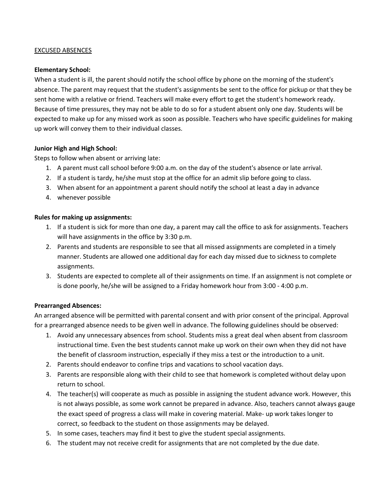# EXCUSED ABSENCES

# **Elementary School:**

When a student is ill, the parent should notify the school office by phone on the morning of the student's absence. The parent may request that the student's assignments be sent to the office for pickup or that they be sent home with a relative or friend. Teachers will make every effort to get the student's homework ready. Because of time pressures, they may not be able to do so for a student absent only one day. Students will be expected to make up for any missed work as soon as possible. Teachers who have specific guidelines for making up work will convey them to their individual classes.

# **Junior High and High School:**

Steps to follow when absent or arriving late:

- 1. A parent must call school before 9:00 a.m. on the day of the student's absence or late arrival.
- 2. If a student is tardy, he/she must stop at the office for an admit slip before going to class.
- 3. When absent for an appointment a parent should notify the school at least a day in advance
- 4. whenever possible

# **Rules for making up assignments:**

- 1. If a student is sick for more than one day, a parent may call the office to ask for assignments. Teachers will have assignments in the office by 3:30 p.m.
- 2. Parents and students are responsible to see that all missed assignments are completed in a timely manner. Students are allowed one additional day for each day missed due to sickness to complete assignments.
- 3. Students are expected to complete all of their assignments on time. If an assignment is not complete or is done poorly, he/she will be assigned to a Friday homework hour from 3:00 - 4:00 p.m.

# **Prearranged Absences:**

An arranged absence will be permitted with parental consent and with prior consent of the principal. Approval for a prearranged absence needs to be given well in advance. The following guidelines should be observed:

- 1. Avoid any unnecessary absences from school. Students miss a great deal when absent from classroom instructional time. Even the best students cannot make up work on their own when they did not have the benefit of classroom instruction, especially if they miss a test or the introduction to a unit.
- 2. Parents should endeavor to confine trips and vacations to school vacation days.
- 3. Parents are responsible along with their child to see that homework is completed without delay upon return to school.
- 4. The teacher(s) will cooperate as much as possible in assigning the student advance work. However, this is not always possible, as some work cannot be prepared in advance. Also, teachers cannot always gauge the exact speed of progress a class will make in covering material. Make- up work takes longer to correct, so feedback to the student on those assignments may be delayed.
- 5. In some cases, teachers may find it best to give the student special assignments.
- 6. The student may not receive credit for assignments that are not completed by the due date.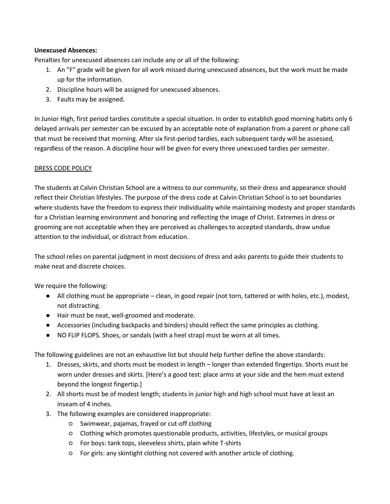# **Unexcused Absences:**

Penalties for unexcused absences can include any or all of the following:

- 1. An "F" grade will be given for all work missed during unexcused absences, but the work must be made up for the information.
- 2. Discipline hours will be assigned for unexcused absences.
- 3. Faults may be assigned.

In Junior High, first period tardies constitute a special situation. In order to establish good morning habits only 6 delayed arrivals per semester can be excused by an acceptable note of explanation from a parent or phone call that must be received that morning. After six first-period tardies, each subsequent tardy will be assessed, regardless of the reason. A discipline hour will be given for every three unexcused tardies per semester.

# DRESS CODE POLICY

The students at Calvin Christian School are a witness to our community, so their dress and appearance should reflect their Christian lifestyles. The purpose of the dress code at Calvin Christian School is to set boundaries where students have the freedom to express their individuality while maintaining modesty and proper standards for a Christian learning environment and honoring and reflecting the image of Christ. Extremes in dress or grooming are not acceptable when they are perceived as challenges to accepted standards, draw undue attention to the individual, or distract from education.

The school relies on parental judgment in most decisions of dress and asks parents to guide their students to make neat and discrete choices.

We require the following:

- All clothing must be appropriate clean, in good repair (not torn, tattered or with holes, etc.), modest, not distracting.
- Hair must be neat, well-groomed and moderate.
- Accessories (including backpacks and binders) should reflect the same principles as clothing.
- NO FLIP FLOPS. Shoes, or sandals (with a heel strap) must be worn at all times.

The following guidelines are not an exhaustive list but should help further define the above standards:

- 1. Dresses, skirts, and shorts must be modest in length longer than extended fingertips. Shorts must be worn under dresses and skirts. [Here's a good test: place arms at your side and the hem must extend beyond the longest fingertip.]
- 2. All shorts must be of modest length; students in junior high and high school must have at least an inseam of 4 inches.
- 3. The following examples are considered inappropriate:
	- Swimwear, pajamas, frayed or cut-off clothing
	- Clothing which promotes questionable products, activities, lifestyles, or musical groups
	- For boys: tank tops, sleeveless shirts, plain white T-shirts
	- For girls: any skintight clothing not covered with another article of clothing.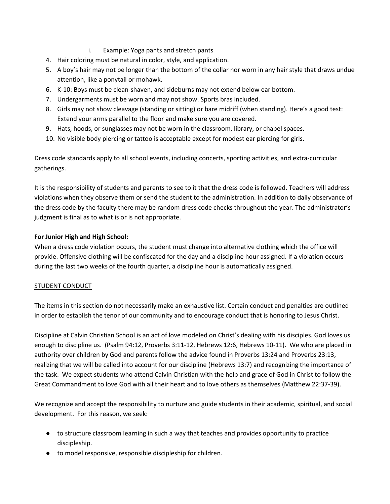- i. Example: Yoga pants and stretch pants
- 4. Hair coloring must be natural in color, style, and application.
- 5. A boy's hair may not be longer than the bottom of the collar nor worn in any hair style that draws undue attention, like a ponytail or mohawk.
- 6. K-10: Boys must be clean-shaven, and sideburns may not extend below ear bottom.
- 7. Undergarments must be worn and may not show. Sports bras included.
- 8. Girls may not show cleavage (standing or sitting) or bare midriff (when standing). Here's a good test: Extend your arms parallel to the floor and make sure you are covered.
- 9. Hats, hoods, or sunglasses may not be worn in the classroom, library, or chapel spaces.
- 10. No visible body piercing or tattoo is acceptable except for modest ear piercing for girls.

Dress code standards apply to all school events, including concerts, sporting activities, and extra-curricular gatherings.

It is the responsibility of students and parents to see to it that the dress code is followed. Teachers will address violations when they observe them or send the student to the administration. In addition to daily observance of the dress code by the faculty there may be random dress code checks throughout the year. The administrator's judgment is final as to what is or is not appropriate.

# **For Junior High and High School:**

When a dress code violation occurs, the student must change into alternative clothing which the office will provide. Offensive clothing will be confiscated for the day and a discipline hour assigned. If a violation occurs during the last two weeks of the fourth quarter, a discipline hour is automatically assigned.

# STUDENT CONDUCT

The items in this section do not necessarily make an exhaustive list. Certain conduct and penalties are outlined in order to establish the tenor of our community and to encourage conduct that is honoring to Jesus Christ.

Discipline at Calvin Christian School is an act of love modeled on Christ's dealing with his disciples. God loves us enough to discipline us. (Psalm 94:12, Proverbs 3:11-12, Hebrews 12:6, Hebrews 10-11). We who are placed in authority over children by God and parents follow the advice found in Proverbs 13:24 and Proverbs 23:13, realizing that we will be called into account for our discipline (Hebrews 13:7) and recognizing the importance of the task. We expect students who attend Calvin Christian with the help and grace of God in Christ to follow the Great Commandment to love God with all their heart and to love others as themselves (Matthew 22:37-39).

We recognize and accept the responsibility to nurture and guide students in their academic, spiritual, and social development. For this reason, we seek:

- to structure classroom learning in such a way that teaches and provides opportunity to practice discipleship.
- to model responsive, responsible discipleship for children.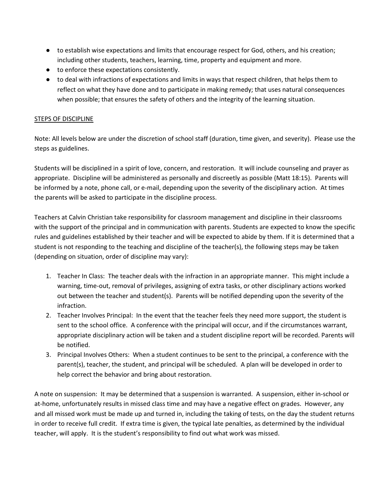- to establish wise expectations and limits that encourage respect for God, others, and his creation; including other students, teachers, learning, time, property and equipment and more.
- to enforce these expectations consistently.
- to deal with infractions of expectations and limits in ways that respect children, that helps them to reflect on what they have done and to participate in making remedy; that uses natural consequences when possible; that ensures the safety of others and the integrity of the learning situation.

# STEPS OF DISCIPLINE

Note: All levels below are under the discretion of school staff (duration, time given, and severity). Please use the steps as guidelines.

Students will be disciplined in a spirit of love, concern, and restoration. It will include counseling and prayer as appropriate. Discipline will be administered as personally and discreetly as possible (Matt 18:15). Parents will be informed by a note, phone call, or e-mail, depending upon the severity of the disciplinary action. At times the parents will be asked to participate in the discipline process.

Teachers at Calvin Christian take responsibility for classroom management and discipline in their classrooms with the support of the principal and in communication with parents. Students are expected to know the specific rules and guidelines established by their teacher and will be expected to abide by them. If it is determined that a student is not responding to the teaching and discipline of the teacher(s), the following steps may be taken (depending on situation, order of discipline may vary):

- 1. Teacher In Class: The teacher deals with the infraction in an appropriate manner. This might include a warning, time-out, removal of privileges, assigning of extra tasks, or other disciplinary actions worked out between the teacher and student(s). Parents will be notified depending upon the severity of the infraction.
- 2. Teacher Involves Principal: In the event that the teacher feels they need more support, the student is sent to the school office. A conference with the principal will occur, and if the circumstances warrant, appropriate disciplinary action will be taken and a student discipline report will be recorded. Parents will be notified.
- 3. Principal Involves Others: When a student continues to be sent to the principal, a conference with the parent(s), teacher, the student, and principal will be scheduled. A plan will be developed in order to help correct the behavior and bring about restoration.

A note on suspension: It may be determined that a suspension is warranted. A suspension, either in-school or at-home, unfortunately results in missed class time and may have a negative effect on grades. However, any and all missed work must be made up and turned in, including the taking of tests, on the day the student returns in order to receive full credit. If extra time is given, the typical late penalties, as determined by the individual teacher, will apply. It is the student's responsibility to find out what work was missed.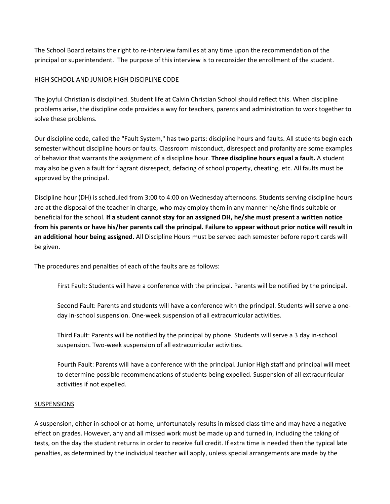The School Board retains the right to re-interview families at any time upon the recommendation of the principal or superintendent. The purpose of this interview is to reconsider the enrollment of the student.

# HIGH SCHOOL AND JUNIOR HIGH DISCIPLINE CODE

The joyful Christian is disciplined. Student life at Calvin Christian School should reflect this. When discipline problems arise, the discipline code provides a way for teachers, parents and administration to work together to solve these problems.

Our discipline code, called the "Fault System," has two parts: discipline hours and faults. All students begin each semester without discipline hours or faults. Classroom misconduct, disrespect and profanity are some examples of behavior that warrants the assignment of a discipline hour. **Three discipline hours equal a fault.** A student may also be given a fault for flagrant disrespect, defacing of school property, cheating, etc. All faults must be approved by the principal.

Discipline hour (DH) is scheduled from 3:00 to 4:00 on Wednesday afternoons. Students serving discipline hours are at the disposal of the teacher in charge, who may employ them in any manner he/she finds suitable or beneficial for the school. **If a student cannot stay for an assigned DH, he/she must present a written notice from his parents or have his/her parents call the principal. Failure to appear without prior notice will result in an additional hour being assigned.** All Discipline Hours must be served each semester before report cards will be given.

The procedures and penalties of each of the faults are as follows:

First Fault: Students will have a conference with the principal. Parents will be notified by the principal.

Second Fault: Parents and students will have a conference with the principal. Students will serve a oneday in-school suspension. One-week suspension of all extracurricular activities.

Third Fault: Parents will be notified by the principal by phone. Students will serve a 3 day in-school suspension. Two-week suspension of all extracurricular activities.

Fourth Fault: Parents will have a conference with the principal. Junior High staff and principal will meet to determine possible recommendations of students being expelled. Suspension of all extracurricular activities if not expelled.

# SUSPENSIONS

A suspension, either in-school or at-home, unfortunately results in missed class time and may have a negative effect on grades. However, any and all missed work must be made up and turned in, including the taking of tests, on the day the student returns in order to receive full credit. If extra time is needed then the typical late penalties, as determined by the individual teacher will apply, unless special arrangements are made by the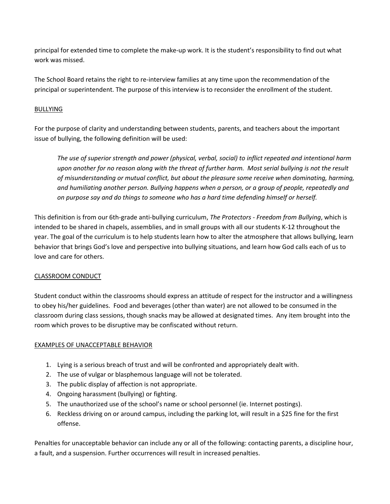principal for extended time to complete the make-up work. It is the student's responsibility to find out what work was missed.

The School Board retains the right to re-interview families at any time upon the recommendation of the principal or superintendent. The purpose of this interview is to reconsider the enrollment of the student.

# BULLYING

For the purpose of clarity and understanding between students, parents, and teachers about the important issue of bullying, the following definition will be used:

*The use of superior strength and power (physical, verbal, social) to inflict repeated and intentional harm upon another for no reason along with the threat of further harm. Most serial bullying is not the result of misunderstanding or mutual conflict, but about the pleasure some receive when dominating, harming, and humiliating another person. Bullying happens when a person, or a group of people, repeatedly and on purpose say and do things to someone who has a hard time defending himself or herself.* 

This definition is from our 6th-grade anti-bullying curriculum, *The Protectors - Freedom from Bullying*, which is intended to be shared in chapels, assemblies, and in small groups with all our students K-12 throughout the year. The goal of the curriculum is to help students learn how to alter the atmosphere that allows bullying, learn behavior that brings God's love and perspective into bullying situations, and learn how God calls each of us to love and care for others.

# CLASSROOM CONDUCT

Student conduct within the classrooms should express an attitude of respect for the instructor and a willingness to obey his/her guidelines. Food and beverages (other than water) are not allowed to be consumed in the classroom during class sessions, though snacks may be allowed at designated times. Any item brought into the room which proves to be disruptive may be confiscated without return.

# EXAMPLES OF UNACCEPTABLE BEHAVIOR

- 1. Lying is a serious breach of trust and will be confronted and appropriately dealt with.
- 2. The use of vulgar or blasphemous language will not be tolerated.
- 3. The public display of affection is not appropriate.
- 4. Ongoing harassment (bullying) or fighting.
- 5. The unauthorized use of the school's name or school personnel (ie. Internet postings).
- 6. Reckless driving on or around campus, including the parking lot, will result in a \$25 fine for the first offense.

Penalties for unacceptable behavior can include any or all of the following: contacting parents, a discipline hour, a fault, and a suspension. Further occurrences will result in increased penalties.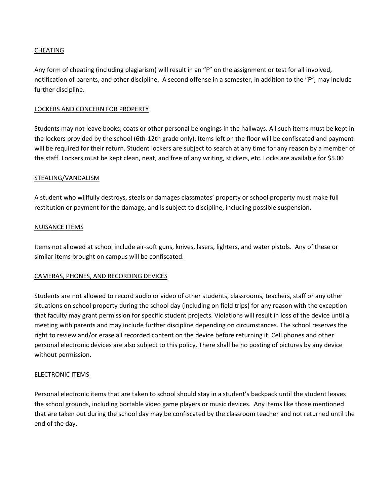# CHEATING

Any form of cheating (including plagiarism) will result in an "F" on the assignment or test for all involved, notification of parents, and other discipline. A second offense in a semester, in addition to the "F", may include further discipline.

# LOCKERS AND CONCERN FOR PROPERTY

Students may not leave books, coats or other personal belongings in the hallways. All such items must be kept in the lockers provided by the school (6th-12th grade only). Items left on the floor will be confiscated and payment will be required for their return. Student lockers are subject to search at any time for any reason by a member of the staff. Lockers must be kept clean, neat, and free of any writing, stickers, etc. Locks are available for \$5.00

# STEALING/VANDALISM

A student who willfully destroys, steals or damages classmates' property or school property must make full restitution or payment for the damage, and is subject to discipline, including possible suspension.

# NUISANCE ITEMS

Items not allowed at school include air-soft guns, knives, lasers, lighters, and water pistols. Any of these or similar items brought on campus will be confiscated.

# CAMERAS, PHONES, AND RECORDING DEVICES

Students are not allowed to record audio or video of other students, classrooms, teachers, staff or any other situations on school property during the school day (including on field trips) for any reason with the exception that faculty may grant permission for specific student projects. Violations will result in loss of the device until a meeting with parents and may include further discipline depending on circumstances. The school reserves the right to review and/or erase all recorded content on the device before returning it. Cell phones and other personal electronic devices are also subject to this policy. There shall be no posting of pictures by any device without permission.

# ELECTRONIC ITEMS

Personal electronic items that are taken to school should stay in a student's backpack until the student leaves the school grounds, including portable video game players or music devices. Any items like those mentioned that are taken out during the school day may be confiscated by the classroom teacher and not returned until the end of the day.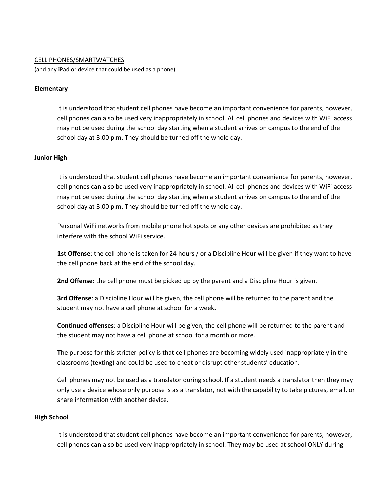#### CELL PHONES/SMARTWATCHES

(and any iPad or device that could be used as a phone)

#### **Elementary**

It is understood that student cell phones have become an important convenience for parents, however, cell phones can also be used very inappropriately in school. All cell phones and devices with WiFi access may not be used during the school day starting when a student arrives on campus to the end of the school day at 3:00 p.m. They should be turned off the whole day.

# **Junior High**

It is understood that student cell phones have become an important convenience for parents, however, cell phones can also be used very inappropriately in school. All cell phones and devices with WiFi access may not be used during the school day starting when a student arrives on campus to the end of the school day at 3:00 p.m. They should be turned off the whole day.

Personal WiFi networks from mobile phone hot spots or any other devices are prohibited as they interfere with the school WiFi service.

**1st Offense**: the cell phone is taken for 24 hours / or a Discipline Hour will be given if they want to have the cell phone back at the end of the school day.

**2nd Offense**: the cell phone must be picked up by the parent and a Discipline Hour is given.

**3rd Offense**: a Discipline Hour will be given, the cell phone will be returned to the parent and the student may not have a cell phone at school for a week.

**Continued offenses**: a Discipline Hour will be given, the cell phone will be returned to the parent and the student may not have a cell phone at school for a month or more.

The purpose for this stricter policy is that cell phones are becoming widely used inappropriately in the classrooms (texting) and could be used to cheat or disrupt other students' education.

Cell phones may not be used as a translator during school. If a student needs a translator then they may only use a device whose only purpose is as a translator, not with the capability to take pictures, email, or share information with another device.

#### **High School**

It is understood that student cell phones have become an important convenience for parents, however, cell phones can also be used very inappropriately in school. They may be used at school ONLY during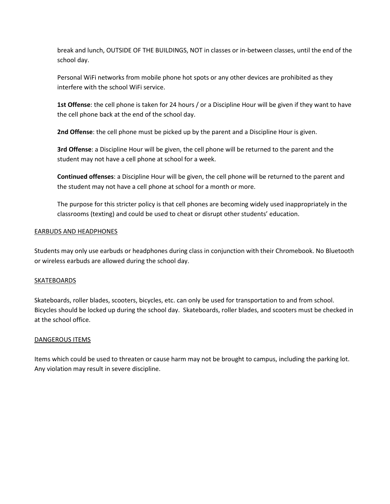break and lunch, OUTSIDE OF THE BUILDINGS, NOT in classes or in-between classes, until the end of the school day.

Personal WiFi networks from mobile phone hot spots or any other devices are prohibited as they interfere with the school WiFi service.

**1st Offense**: the cell phone is taken for 24 hours / or a Discipline Hour will be given if they want to have the cell phone back at the end of the school day.

**2nd Offense**: the cell phone must be picked up by the parent and a Discipline Hour is given.

**3rd Offense**: a Discipline Hour will be given, the cell phone will be returned to the parent and the student may not have a cell phone at school for a week.

**Continued offenses**: a Discipline Hour will be given, the cell phone will be returned to the parent and the student may not have a cell phone at school for a month or more.

The purpose for this stricter policy is that cell phones are becoming widely used inappropriately in the classrooms (texting) and could be used to cheat or disrupt other students' education.

# EARBUDS AND HEADPHONES

Students may only use earbuds or headphones during class in conjunction with their Chromebook. No Bluetooth or wireless earbuds are allowed during the school day.

# SKATEBOARDS

Skateboards, roller blades, scooters, bicycles, etc. can only be used for transportation to and from school. Bicycles should be locked up during the school day. Skateboards, roller blades, and scooters must be checked in at the school office.

# DANGEROUS ITEMS

Items which could be used to threaten or cause harm may not be brought to campus, including the parking lot. Any violation may result in severe discipline.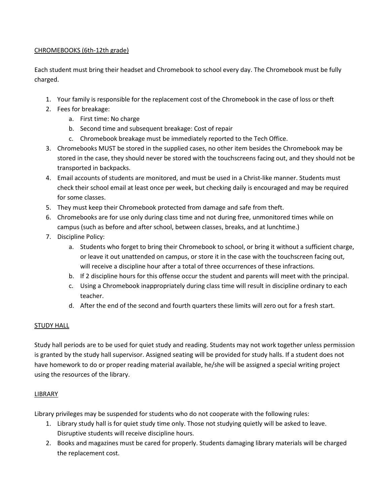# CHROMEBOOKS (6th-12th grade)

Each student must bring their headset and Chromebook to school every day. The Chromebook must be fully charged.

- 1. Your family is responsible for the replacement cost of the Chromebook in the case of loss or theft
- 2. Fees for breakage:
	- a. First time: No charge
	- b. Second time and subsequent breakage: Cost of repair
	- c. Chromebook breakage must be immediately reported to the Tech Office.
- 3. Chromebooks MUST be stored in the supplied cases, no other item besides the Chromebook may be stored in the case, they should never be stored with the touchscreens facing out, and they should not be transported in backpacks.
- 4. Email accounts of students are monitored, and must be used in a Christ-like manner. Students must check their school email at least once per week, but checking daily is encouraged and may be required for some classes.
- 5. They must keep their Chromebook protected from damage and safe from theft.
- 6. Chromebooks are for use only during class time and not during free, unmonitored times while on campus (such as before and after school, between classes, breaks, and at lunchtime.)
- 7. Discipline Policy:
	- a. Students who forget to bring their Chromebook to school, or bring it without a sufficient charge, or leave it out unattended on campus, or store it in the case with the touchscreen facing out, will receive a discipline hour after a total of three occurrences of these infractions.
	- b. If 2 discipline hours for this offense occur the student and parents will meet with the principal.
	- c. Using a Chromebook inappropriately during class time will result in discipline ordinary to each teacher.
	- d. After the end of the second and fourth quarters these limits will zero out for a fresh start.

# STUDY HALL

Study hall periods are to be used for quiet study and reading. Students may not work together unless permission is granted by the study hall supervisor. Assigned seating will be provided for study halls. If a student does not have homework to do or proper reading material available, he/she will be assigned a special writing project using the resources of the library.

# LIBRARY

Library privileges may be suspended for students who do not cooperate with the following rules:

- 1. Library study hall is for quiet study time only. Those not studying quietly will be asked to leave. Disruptive students will receive discipline hours.
- 2. Books and magazines must be cared for properly. Students damaging library materials will be charged the replacement cost.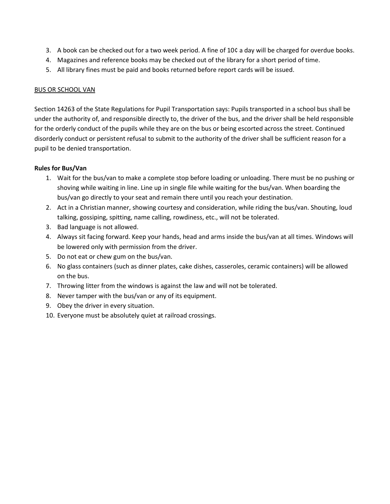- 3. A book can be checked out for a two week period. A fine of 10¢ a day will be charged for overdue books.
- 4. Magazines and reference books may be checked out of the library for a short period of time.
- 5. All library fines must be paid and books returned before report cards will be issued.

# BUS OR SCHOOL VAN

Section 14263 of the State Regulations for Pupil Transportation says: Pupils transported in a school bus shall be under the authority of, and responsible directly to, the driver of the bus, and the driver shall be held responsible for the orderly conduct of the pupils while they are on the bus or being escorted across the street. Continued disorderly conduct or persistent refusal to submit to the authority of the driver shall be sufficient reason for a pupil to be denied transportation.

# **Rules for Bus/Van**

- 1. Wait for the bus/van to make a complete stop before loading or unloading. There must be no pushing or shoving while waiting in line. Line up in single file while waiting for the bus/van. When boarding the bus/van go directly to your seat and remain there until you reach your destination.
- 2. Act in a Christian manner, showing courtesy and consideration, while riding the bus/van. Shouting, loud talking, gossiping, spitting, name calling, rowdiness, etc., will not be tolerated.
- 3. Bad language is not allowed.
- 4. Always sit facing forward. Keep your hands, head and arms inside the bus/van at all times. Windows will be lowered only with permission from the driver.
- 5. Do not eat or chew gum on the bus/van.
- 6. No glass containers (such as dinner plates, cake dishes, casseroles, ceramic containers) will be allowed on the bus.
- 7. Throwing litter from the windows is against the law and will not be tolerated.
- 8. Never tamper with the bus/van or any of its equipment.
- 9. Obey the driver in every situation.
- 10. Everyone must be absolutely quiet at railroad crossings.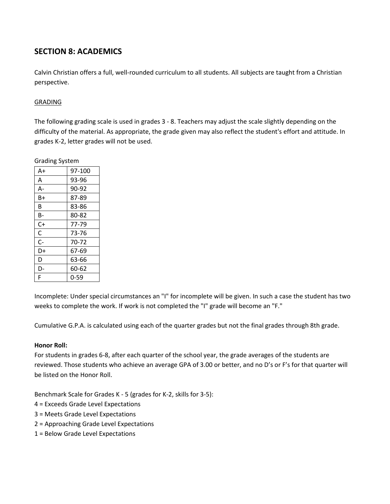# **SECTION 8: ACADEMICS**

Calvin Christian offers a full, well-rounded curriculum to all students. All subjects are taught from a Christian perspective.

# GRADING

Grading System

The following grading scale is used in grades 3 - 8. Teachers may adjust the scale slightly depending on the difficulty of the material. As appropriate, the grade given may also reflect the student's effort and attitude. In grades K-2, letter grades will not be used.

| י - ייי |          |  |
|---------|----------|--|
| A+      | 97-100   |  |
| A       | 93-96    |  |
| А-      | 90-92    |  |
| B+      | 87-89    |  |
| B       | 83-86    |  |
| В-      | 80-82    |  |
| $C+$    | 77-79    |  |
| С       | 73-76    |  |
| $C-$    | 70-72    |  |
| D+      | 67-69    |  |
| D       | 63-66    |  |
| D-      | 60-62    |  |
| F       | $0 - 59$ |  |
|         |          |  |

Incomplete: Under special circumstances an "I" for incomplete will be given. In such a case the student has two weeks to complete the work. If work is not completed the "I" grade will become an "F."

Cumulative G.P.A. is calculated using each of the quarter grades but not the final grades through 8th grade.

# **Honor Roll:**

For students in grades 6-8, after each quarter of the school year, the grade averages of the students are reviewed. Those students who achieve an average GPA of 3.00 or better, and no D's or F's for that quarter will be listed on the Honor Roll.

Benchmark Scale for Grades K - 5 (grades for K-2, skills for 3-5):

- 4 = Exceeds Grade Level Expectations
- 3 = Meets Grade Level Expectations
- 2 = Approaching Grade Level Expectations
- 1 = Below Grade Level Expectations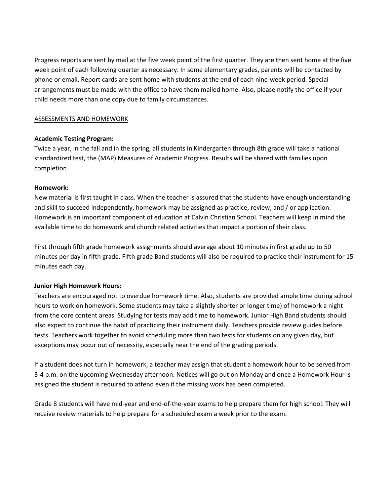Progress reports are sent by mail at the five week point of the first quarter. They are then sent home at the five week point of each following quarter as necessary. In some elementary grades, parents will be contacted by phone or email. Report cards are sent home with students at the end of each nine-week period. Special arrangements must be made with the office to have them mailed home. Also, please notify the office if your child needs more than one copy due to family circumstances.

# ASSESSMENTS AND HOMEWORK

# **Academic Testing Program:**

Twice a year, in the fall and in the spring, all students in Kindergarten through 8th grade will take a national standardized test, the (MAP) Measures of Academic Progress. Results will be shared with families upon completion.

# **Homework:**

New material is first taught in class. When the teacher is assured that the students have enough understanding and skill to succeed independently, homework may be assigned as practice, review, and / or application. Homework is an important component of education at Calvin Christian School. Teachers will keep in mind the available time to do homework and church related activities that impact a portion of their class.

First through fifth grade homework assignments should average about 10 minutes in first grade up to 50 minutes per day in fifth grade. Fifth grade Band students will also be required to practice their instrument for 15 minutes each day.

# **Junior High Homework Hours:**

Teachers are encouraged not to overdue homework time. Also, students are provided ample time during school hours to work on homework. Some students may take a slightly shorter or longer time) of homework a night from the core content areas. Studying for tests may add time to homework. Junior High Band students should also expect to continue the habit of practicing their instrument daily. Teachers provide review guides before tests. Teachers work together to avoid scheduling more than two tests for students on any given day, but exceptions may occur out of necessity, especially near the end of the grading periods.

If a student does not turn in homework, a teacher may assign that student a homework hour to be served from 3-4 p.m. on the upcoming Wednesday afternoon. Notices will go out on Monday and once a Homework Hour is assigned the student is required to attend even if the missing work has been completed.

Grade 8 students will have mid-year and end-of-the-year exams to help prepare them for high school. They will receive review materials to help prepare for a scheduled exam a week prior to the exam.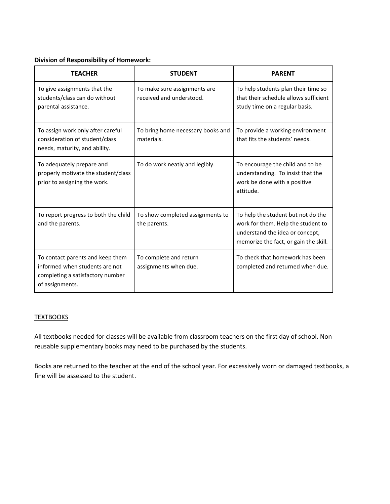# **Division of Responsibility of Homework:**

| <b>TEACHER</b>                                                                                                            | <b>STUDENT</b>                                           | <b>PARENT</b>                                                                                                                                        |
|---------------------------------------------------------------------------------------------------------------------------|----------------------------------------------------------|------------------------------------------------------------------------------------------------------------------------------------------------------|
| To give assignments that the<br>students/class can do without<br>parental assistance.                                     | To make sure assignments are<br>received and understood. | To help students plan their time so<br>that their schedule allows sufficient<br>study time on a regular basis.                                       |
| To assign work only after careful<br>consideration of student/class<br>needs, maturity, and ability.                      | To bring home necessary books and<br>materials.          | To provide a working environment<br>that fits the students' needs.                                                                                   |
| To adequately prepare and<br>properly motivate the student/class<br>prior to assigning the work.                          | To do work neatly and legibly.                           | To encourage the child and to be<br>understanding. To insist that the<br>work be done with a positive<br>attitude.                                   |
| To report progress to both the child<br>and the parents.                                                                  | To show completed assignments to<br>the parents.         | To help the student but not do the<br>work for them. Help the student to<br>understand the idea or concept,<br>memorize the fact, or gain the skill. |
| To contact parents and keep them<br>informed when students are not<br>completing a satisfactory number<br>of assignments. | To complete and return<br>assignments when due.          | To check that homework has been<br>completed and returned when due.                                                                                  |

# **TEXTBOOKS**

All textbooks needed for classes will be available from classroom teachers on the first day of school. Non reusable supplementary books may need to be purchased by the students.

Books are returned to the teacher at the end of the school year. For excessively worn or damaged textbooks, a fine will be assessed to the student.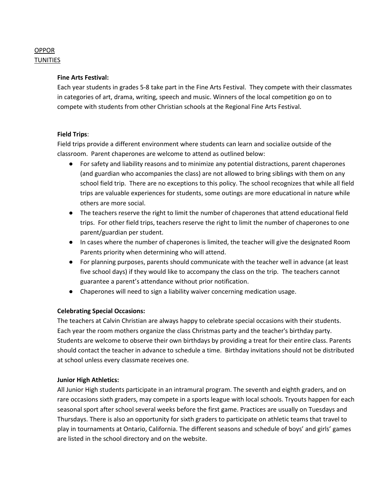# OPPOR TUNITIES

# **Fine Arts Festival:**

Each year students in grades 5-8 take part in the Fine Arts Festival. They compete with their classmates in categories of art, drama, writing, speech and music. Winners of the local competition go on to compete with students from other Christian schools at the Regional Fine Arts Festival.

# **Field Trips**:

Field trips provide a different environment where students can learn and socialize outside of the classroom. Parent chaperones are welcome to attend as outlined below:

- For safety and liability reasons and to minimize any potential distractions, parent chaperones (and guardian who accompanies the class) are not allowed to bring siblings with them on any school field trip. There are no exceptions to this policy. The school recognizes that while all field trips are valuable experiences for students, some outings are more educational in nature while others are more social.
- The teachers reserve the right to limit the number of chaperones that attend educational field trips. For other field trips, teachers reserve the right to limit the number of chaperones to one parent/guardian per student.
- In cases where the number of chaperones is limited, the teacher will give the designated Room Parents priority when determining who will attend.
- For planning purposes, parents should communicate with the teacher well in advance (at least five school days) if they would like to accompany the class on the trip. The teachers cannot guarantee a parent's attendance without prior notification.
- Chaperones will need to sign a liability waiver concerning medication usage.

# **Celebrating Special Occasions:**

The teachers at Calvin Christian are always happy to celebrate special occasions with their students. Each year the room mothers organize the class Christmas party and the teacher's birthday party. Students are welcome to observe their own birthdays by providing a treat for their entire class. Parents should contact the teacher in advance to schedule a time. Birthday invitations should not be distributed at school unless every classmate receives one.

# **Junior High Athletics:**

All Junior High students participate in an intramural program. The seventh and eighth graders, and on rare occasions sixth graders, may compete in a sports league with local schools. Tryouts happen for each seasonal sport after school several weeks before the first game. Practices are usually on Tuesdays and Thursdays. There is also an opportunity for sixth graders to participate on athletic teams that travel to play in tournaments at Ontario, California. The different seasons and schedule of boys' and girls' games are listed in the school directory and on the website.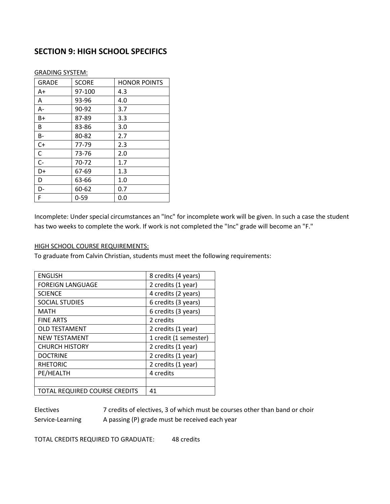# **SECTION 9: HIGH SCHOOL SPECIFICS**

| <b>GRADE</b> | <b>SCORE</b> | <b>HONOR POINTS</b> |
|--------------|--------------|---------------------|
| A+           | 97-100       | 4.3                 |
| A            | 93-96        | 4.0                 |
| A-           | 90-92        | 3.7                 |
| B+           | 87-89        | 3.3                 |
| B            | 83-86        | 3.0                 |
| B-           | 80-82        | 2.7                 |
| $C+$         | 77-79        | 2.3                 |
| C            | 73-76        | 2.0                 |
| $C-$         | 70-72        | 1.7                 |
| D+           | 67-69        | 1.3                 |
| D            | 63-66        | 1.0                 |
| D-           | 60-62        | 0.7                 |
| F            | $0 - 59$     | 0.0                 |
|              |              |                     |

GRADING SYSTEM:

Incomplete: Under special circumstances an "Inc" for incomplete work will be given. In such a case the student has two weeks to complete the work. If work is not completed the "Inc" grade will become an "F."

#### HIGH SCHOOL COURSE REQUIREMENTS:

To graduate from Calvin Christian, students must meet the following requirements:

| <b>ENGLISH</b>                                | 8 credits (4 years)   |  |
|-----------------------------------------------|-----------------------|--|
| 2 credits (1 year)<br><b>FOREIGN LANGUAGE</b> |                       |  |
| <b>SCIENCE</b>                                | 4 credits (2 years)   |  |
| <b>SOCIAL STUDIES</b>                         | 6 credits (3 years)   |  |
| <b>MATH</b>                                   | 6 credits (3 years)   |  |
| <b>FINE ARTS</b>                              | 2 credits             |  |
| <b>OLD TESTAMENT</b>                          | 2 credits (1 year)    |  |
| <b>NEW TESTAMENT</b>                          | 1 credit (1 semester) |  |
| <b>CHURCH HISTORY</b>                         | 2 credits (1 year)    |  |
| <b>DOCTRINE</b>                               | 2 credits (1 year)    |  |
| <b>RHETORIC</b>                               | 2 credits (1 year)    |  |
| PE/HEALTH                                     | 4 credits             |  |
|                                               |                       |  |
| <b>TOTAL REQUIRED COURSE CREDITS</b>          | 41                    |  |

Electives 7 credits of electives, 3 of which must be courses other than band or choir Service-Learning A passing (P) grade must be received each year

TOTAL CREDITS REQUIRED TO GRADUATE: 48 credits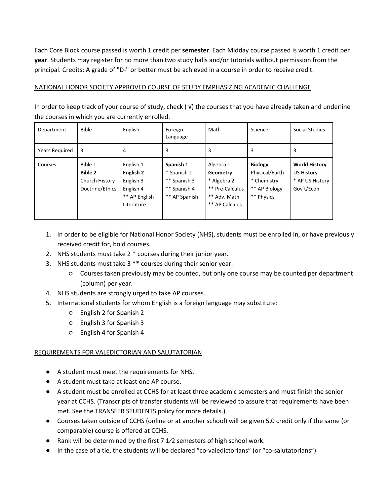Each Core Block course passed is worth 1 credit per **semester**. Each Midday course passed is worth 1 credit per **year**. Students may register for no more than two study halls and/or tutorials without permission from the principal. Credits: A grade of "D-" or better must be achieved in a course in order to receive credit.

# NATIONAL HONOR SOCIETY APPROVED COURSE OF STUDY EMPHASIZING ACADEMIC CHALLENGE

In order to keep track of your course of study, check ( √) the courses that you have already taken and underline the courses in which you are currently enrolled.

| Department     | <b>Bible</b>                                                   | English                                                                         | Foreign<br>Language                                                       | Math                                                                                      | Science                                                                        | Social Studies                                                      |
|----------------|----------------------------------------------------------------|---------------------------------------------------------------------------------|---------------------------------------------------------------------------|-------------------------------------------------------------------------------------------|--------------------------------------------------------------------------------|---------------------------------------------------------------------|
| Years Required | 3                                                              | 4                                                                               | 3                                                                         |                                                                                           | 3                                                                              | 3                                                                   |
| Courses        | Bible 1<br><b>Bible 2</b><br>Church History<br>Doctrine/Ethics | English 1<br>English 2<br>English 3<br>English 4<br>** AP English<br>Literature | Spanish 1<br>* Spanish 2<br>** Spanish 3<br>** Spanish 4<br>** AP Spanish | Algebra 1<br>Geometry<br>* Algebra 2<br>** Pre-Calculus<br>** Adv. Math<br>** AP Calculus | <b>Biology</b><br>Physical/Earth<br>* Chemistry<br>** AP Biology<br>** Physics | <b>World History</b><br>US History<br>* AP US History<br>Gov't/Econ |

- 1. In order to be eligible for National Honor Society (NHS), students must be enrolled in, or have previously received credit for, bold courses.
- 2. NHS students must take 2 \* courses during their junior year.
- 3. NHS students must take 3 \*\* courses during their senior year.
	- Courses taken previously may be counted, but only one course may be counted per department (column) per year.
- 4. NHS students are strongly urged to take AP courses.
- 5. International students for whom English is a foreign language may substitute:
	- English 2 for Spanish 2
	- English 3 for Spanish 3
	- English 4 for Spanish 4

# REQUIREMENTS FOR VALEDICTORIAN AND SALUTATORIAN

- A student must meet the requirements for NHS.
- A student must take at least one AP course.
- A student must be enrolled at CCHS for at least three academic semesters and must finish the senior year at CCHS. (Transcripts of transfer students will be reviewed to assure that requirements have been met. See the TRANSFER STUDENTS policy for more details.)
- Courses taken outside of CCHS (online or at another school) will be given 5.0 credit only if the same (or comparable) course is offered at CCHS.
- Rank will be determined by the first  $7 \frac{1}{2}$  semesters of high school work.
- In the case of a tie, the students will be declared "co-valedictorians" (or "co-salutatorians")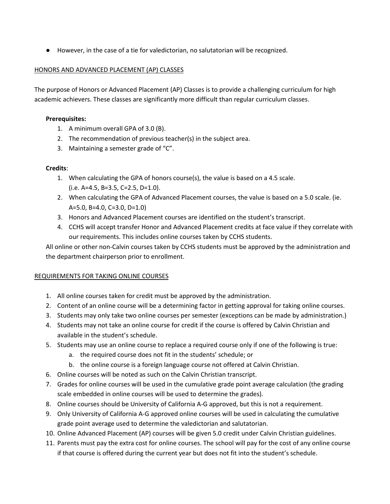● However, in the case of a tie for valedictorian, no salutatorian will be recognized.

# HONORS AND ADVANCED PLACEMENT (AP) CLASSES

The purpose of Honors or Advanced Placement (AP) Classes is to provide a challenging curriculum for high academic achievers. These classes are significantly more difficult than regular curriculum classes.

# **Prerequisites:**

- 1. A minimum overall GPA of 3.0 (B).
- 2. The recommendation of previous teacher(s) in the subject area.
- 3. Maintaining a semester grade of "C".

# **Credits**:

- 1. When calculating the GPA of honors course(s), the value is based on a 4.5 scale. (i.e. A=4.5, B=3.5, C=2.5, D=1.0).
- 2. When calculating the GPA of Advanced Placement courses, the value is based on a 5.0 scale. (ie. A=5.0, B=4.0, C=3.0, D=1.0)
- 3. Honors and Advanced Placement courses are identified on the student's transcript.
- 4. CCHS will accept transfer Honor and Advanced Placement credits at face value if they correlate with our requirements. This includes online courses taken by CCHS students.

All online or other non-Calvin courses taken by CCHS students must be approved by the administration and the department chairperson prior to enrollment.

# REQUIREMENTS FOR TAKING ONLINE COURSES

- 1. All online courses taken for credit must be approved by the administration.
- 2. Content of an online course will be a determining factor in getting approval for taking online courses.
- 3. Students may only take two online courses per semester (exceptions can be made by administration.)
- 4. Students may not take an online course for credit if the course is offered by Calvin Christian and available in the student's schedule.
- 5. Students may use an online course to replace a required course only if one of the following is true:
	- a. the required course does not fit in the students' schedule; or
	- b. the online course is a foreign language course not offered at Calvin Christian.
- 6. Online courses will be noted as such on the Calvin Christian transcript.
- 7. Grades for online courses will be used in the cumulative grade point average calculation (the grading scale embedded in online courses will be used to determine the grades).
- 8. Online courses should be University of California A-G approved, but this is not a requirement.
- 9. Only University of California A-G approved online courses will be used in calculating the cumulative grade point average used to determine the valedictorian and salutatorian.
- 10. Online Advanced Placement (AP) courses will be given 5.0 credit under Calvin Christian guidelines.
- 11. Parents must pay the extra cost for online courses. The school will pay for the cost of any online course if that course is offered during the current year but does not fit into the student's schedule.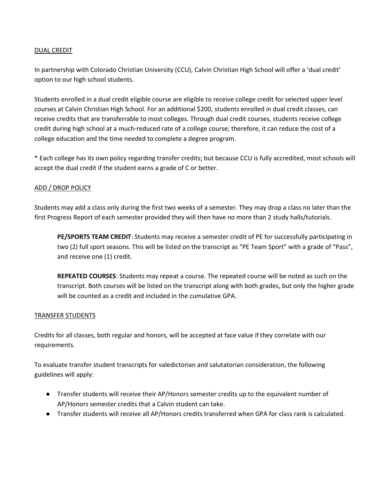# DUAL CREDIT

In partnership with Colorado Christian University (CCU), Calvin Christian High School will offer a 'dual credit' option to our high school students.

Students enrolled in a dual credit eligible course are eligible to receive college credit for selected upper level courses at Calvin Christian High School. For an additional \$200, students enrolled in dual credit classes, can receive credits that are transferrable to most colleges. Through dual credit courses, students receive college credit during high school at a much-reduced rate of a college course; therefore, it can reduce the cost of a college education and the time needed to complete a degree program.

\* Each college has its own policy regarding transfer credits; but because CCU is fully accredited, most schools will accept the dual credit if the student earns a grade of C or better.

# ADD / DROP POLICY

Students may add a class only during the first two weeks of a semester. They may drop a class no later than the first Progress Report of each semester provided they will then have no more than 2 study halls/tutorials.

**PE/SPORTS TEAM CREDIT**: Students may receive a semester credit of PE for successfully participating in two (2) full sport seasons. This will be listed on the transcript as "PE Team Sport" with a grade of "Pass", and receive one (1) credit.

**REPEATED COURSES**: Students may repeat a course. The repeated course will be noted as such on the transcript. Both courses will be listed on the transcript along with both grades, but only the higher grade will be counted as a credit and included in the cumulative GPA.

# TRANSFER STUDENTS

Credits for all classes, both regular and honors, will be accepted at face value if they correlate with our requirements.

To evaluate transfer student transcripts for valedictorian and salutatorian consideration, the following guidelines will apply:

- Transfer students will receive their AP/Honors semester credits up to the equivalent number of AP/Honors semester credits that a Calvin student can take.
- Transfer students will receive all AP/Honors credits transferred when GPA for class rank is calculated.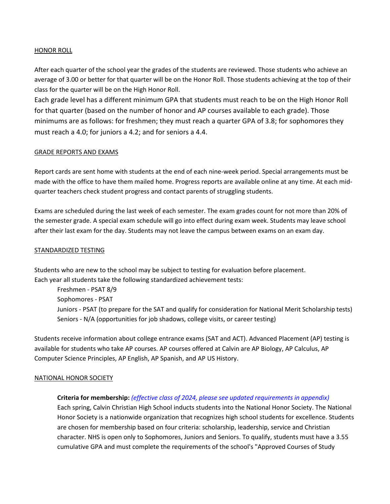# HONOR ROLL

After each quarter of the school year the grades of the students are reviewed. Those students who achieve an average of 3.00 or better for that quarter will be on the Honor Roll. Those students achieving at the top of their class for the quarter will be on the High Honor Roll.

Each grade level has a different minimum GPA that students must reach to be on the High Honor Roll for that quarter (based on the number of honor and AP courses available to each grade). Those minimums are as follows: for freshmen; they must reach a quarter GPA of 3.8; for sophomores they must reach a 4.0; for juniors a 4.2; and for seniors a 4.4.

#### GRADE REPORTS AND EXAMS

Report cards are sent home with students at the end of each nine-week period. Special arrangements must be made with the office to have them mailed home. Progress reports are available online at any time. At each midquarter teachers check student progress and contact parents of struggling students.

Exams are scheduled during the last week of each semester. The exam grades count for not more than 20% of the semester grade. A special exam schedule will go into effect during exam week. Students may leave school after their last exam for the day. Students may not leave the campus between exams on an exam day.

#### STANDARDIZED TESTING

Students who are new to the school may be subject to testing for evaluation before placement. Each year all students take the following standardized achievement tests:

Freshmen - PSAT 8/9 Sophomores - PSAT Juniors - PSAT (to prepare for the SAT and qualify for consideration for National Merit Scholarship tests) Seniors - N/A (opportunities for job shadows, college visits, or career testing)

Students receive information about college entrance exams (SAT and ACT). Advanced Placement (AP) testing is available for students who take AP courses. AP courses offered at Calvin are AP Biology, AP Calculus, AP Computer Science Principles, AP English, AP Spanish, and AP US History.

# NATIONAL HONOR SOCIETY

# **Criteria for membership:** *(effective class of 2024, please see updated requirements in appendix)*

Each spring, Calvin Christian High School inducts students into the National Honor Society. The National Honor Society is a nationwide organization that recognizes high school students for excellence. Students are chosen for membership based on four criteria: scholarship, leadership, service and Christian character. NHS is open only to Sophomores, Juniors and Seniors. To qualify, students must have a 3.55 cumulative GPA and must complete the requirements of the school's "Approved Courses of Study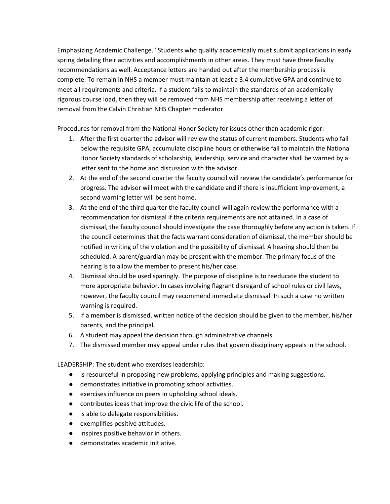Emphasizing Academic Challenge." Students who qualify academically must submit applications in early spring detailing their activities and accomplishments in other areas. They must have three faculty recommendations as well. Acceptance letters are handed out after the membership process is complete. To remain in NHS a member must maintain at least a 3.4 cumulative GPA and continue to meet all requirements and criteria. If a student fails to maintain the standards of an academically rigorous course load, then they will be removed from NHS membership after receiving a letter of removal from the Calvin Christian NHS Chapter moderator.

Procedures for removal from the National Honor Society for issues other than academic rigor:

- 1. After the first quarter the advisor will review the status of current members. Students who fall below the requisite GPA, accumulate discipline hours or otherwise fail to maintain the National Honor Society standards of scholarship, leadership, service and character shall be warned by a letter sent to the home and discussion with the advisor.
- 2. At the end of the second quarter the faculty council will review the candidate's performance for progress. The advisor will meet with the candidate and if there is insufficient improvement, a second warning letter will be sent home.
- 3. At the end of the third quarter the faculty council will again review the performance with a recommendation for dismissal if the criteria requirements are not attained. In a case of dismissal, the faculty council should investigate the case thoroughly before any action is taken. If the council determines that the facts warrant consideration of dismissal, the member should be notified in writing of the violation and the possibility of dismissal. A hearing should then be scheduled. A parent/guardian may be present with the member. The primary focus of the hearing is to allow the member to present his/her case.
- 4. Dismissal should be used sparingly. The purpose of discipline is to reeducate the student to more appropriate behavior. In cases involving flagrant disregard of school rules or civil laws, however, the faculty council may recommend immediate dismissal. In such a case no written warning is required.
- 5. If a member is dismissed, written notice of the decision should be given to the member, his/her parents, and the principal.
- 6. A student may appeal the decision through administrative channels.
- 7. The dismissed member may appeal under rules that govern disciplinary appeals in the school.

LEADERSHIP: The student who exercises leadership:

- is resourceful in proposing new problems, applying principles and making suggestions.
- demonstrates initiative in promoting school activities.
- exercises influence on peers in upholding school ideals.
- contributes ideas that improve the civic life of the school.
- is able to delegate responsibilities.
- exemplifies positive attitudes.
- inspires positive behavior in others.
- demonstrates academic initiative.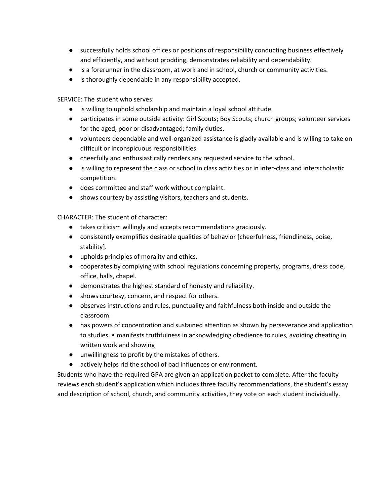- successfully holds school offices or positions of responsibility conducting business effectively and efficiently, and without prodding, demonstrates reliability and dependability.
- is a forerunner in the classroom, at work and in school, church or community activities.
- is thoroughly dependable in any responsibility accepted.

SERVICE: The student who serves:

- is willing to uphold scholarship and maintain a loyal school attitude.
- participates in some outside activity: Girl Scouts; Boy Scouts; church groups; volunteer services for the aged, poor or disadvantaged; family duties.
- volunteers dependable and well-organized assistance is gladly available and is willing to take on difficult or inconspicuous responsibilities.
- cheerfully and enthusiastically renders any requested service to the school.
- is willing to represent the class or school in class activities or in inter-class and interscholastic competition.
- does committee and staff work without complaint.
- shows courtesy by assisting visitors, teachers and students.

CHARACTER: The student of character:

- takes criticism willingly and accepts recommendations graciously.
- consistently exemplifies desirable qualities of behavior [cheerfulness, friendliness, poise, stability].
- upholds principles of morality and ethics.
- cooperates by complying with school regulations concerning property, programs, dress code, office, halls, chapel.
- demonstrates the highest standard of honesty and reliability.
- shows courtesy, concern, and respect for others.
- observes instructions and rules, punctuality and faithfulness both inside and outside the classroom.
- has powers of concentration and sustained attention as shown by perseverance and application to studies. • manifests truthfulness in acknowledging obedience to rules, avoiding cheating in written work and showing
- unwillingness to profit by the mistakes of others.
- actively helps rid the school of bad influences or environment.

Students who have the required GPA are given an application packet to complete. After the faculty reviews each student's application which includes three faculty recommendations, the student's essay and description of school, church, and community activities, they vote on each student individually.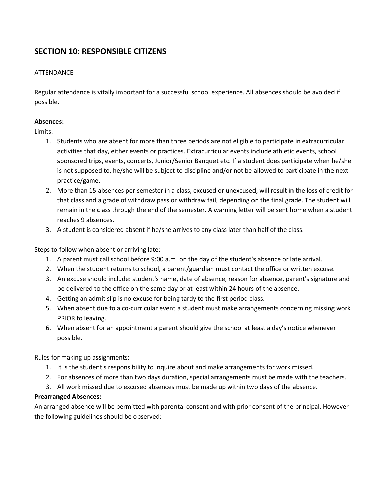# **SECTION 10: RESPONSIBLE CITIZENS**

# **ATTENDANCE**

Regular attendance is vitally important for a successful school experience. All absences should be avoided if possible.

# **Absences:**

Limits:

- 1. Students who are absent for more than three periods are not eligible to participate in extracurricular activities that day, either events or practices. Extracurricular events include athletic events, school sponsored trips, events, concerts, Junior/Senior Banquet etc. If a student does participate when he/she is not supposed to, he/she will be subject to discipline and/or not be allowed to participate in the next practice/game.
- 2. More than 15 absences per semester in a class, excused or unexcused, will result in the loss of credit for that class and a grade of withdraw pass or withdraw fail, depending on the final grade. The student will remain in the class through the end of the semester. A warning letter will be sent home when a student reaches 9 absences.
- 3. A student is considered absent if he/she arrives to any class later than half of the class.

Steps to follow when absent or arriving late:

- 1. A parent must call school before 9:00 a.m. on the day of the student's absence or late arrival.
- 2. When the student returns to school, a parent/guardian must contact the office or written excuse.
- 3. An excuse should include: student's name, date of absence, reason for absence, parent's signature and be delivered to the office on the same day or at least within 24 hours of the absence.
- 4. Getting an admit slip is no excuse for being tardy to the first period class.
- 5. When absent due to a co-curricular event a student must make arrangements concerning missing work PRIOR to leaving.
- 6. When absent for an appointment a parent should give the school at least a day's notice whenever possible.

Rules for making up assignments:

- 1. It is the student's responsibility to inquire about and make arrangements for work missed.
- 2. For absences of more than two days duration, special arrangements must be made with the teachers.
- 3. All work missed due to excused absences must be made up within two days of the absence.

# **Prearranged Absences:**

An arranged absence will be permitted with parental consent and with prior consent of the principal. However the following guidelines should be observed: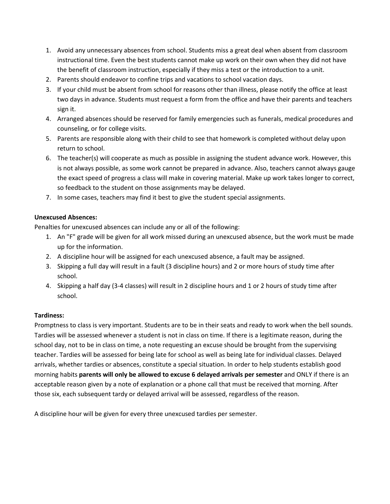- 1. Avoid any unnecessary absences from school. Students miss a great deal when absent from classroom instructional time. Even the best students cannot make up work on their own when they did not have the benefit of classroom instruction, especially if they miss a test or the introduction to a unit.
- 2. Parents should endeavor to confine trips and vacations to school vacation days.
- 3. If your child must be absent from school for reasons other than illness, please notify the office at least two days in advance. Students must request a form from the office and have their parents and teachers sign it.
- 4. Arranged absences should be reserved for family emergencies such as funerals, medical procedures and counseling, or for college visits.
- 5. Parents are responsible along with their child to see that homework is completed without delay upon return to school.
- 6. The teacher(s) will cooperate as much as possible in assigning the student advance work. However, this is not always possible, as some work cannot be prepared in advance. Also, teachers cannot always gauge the exact speed of progress a class will make in covering material. Make up work takes longer to correct, so feedback to the student on those assignments may be delayed.
- 7. In some cases, teachers may find it best to give the student special assignments.

# **Unexcused Absences:**

Penalties for unexcused absences can include any or all of the following:

- 1. An "F" grade will be given for all work missed during an unexcused absence, but the work must be made up for the information.
- 2. A discipline hour will be assigned for each unexcused absence, a fault may be assigned.
- 3. Skipping a full day will result in a fault (3 discipline hours) and 2 or more hours of study time after school.
- 4. Skipping a half day (3-4 classes) will result in 2 discipline hours and 1 or 2 hours of study time after school.

# **Tardiness:**

Promptness to class is very important. Students are to be in their seats and ready to work when the bell sounds. Tardies will be assessed whenever a student is not in class on time. If there is a legitimate reason, during the school day, not to be in class on time, a note requesting an excuse should be brought from the supervising teacher. Tardies will be assessed for being late for school as well as being late for individual classes. Delayed arrivals, whether tardies or absences, constitute a special situation. In order to help students establish good morning habits **parents will only be allowed to excuse 6 delayed arrivals per semester** and ONLY if there is an acceptable reason given by a note of explanation or a phone call that must be received that morning. After those six, each subsequent tardy or delayed arrival will be assessed, regardless of the reason.

A discipline hour will be given for every three unexcused tardies per semester.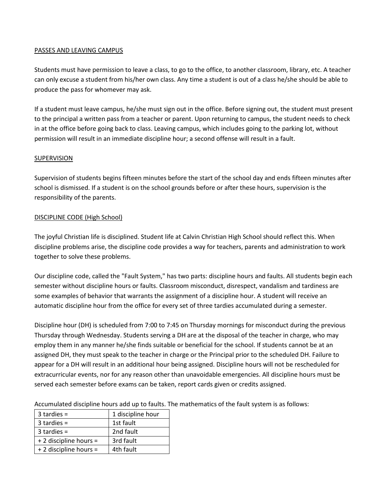# PASSES AND LEAVING CAMPUS

Students must have permission to leave a class, to go to the office, to another classroom, library, etc. A teacher can only excuse a student from his/her own class. Any time a student is out of a class he/she should be able to produce the pass for whomever may ask.

If a student must leave campus, he/she must sign out in the office. Before signing out, the student must present to the principal a written pass from a teacher or parent. Upon returning to campus, the student needs to check in at the office before going back to class. Leaving campus, which includes going to the parking lot, without permission will result in an immediate discipline hour; a second offense will result in a fault.

# SUPERVISION

Supervision of students begins fifteen minutes before the start of the school day and ends fifteen minutes after school is dismissed. If a student is on the school grounds before or after these hours, supervision is the responsibility of the parents.

# DISCIPLINE CODE (High School)

The joyful Christian life is disciplined. Student life at Calvin Christian High School should reflect this. When discipline problems arise, the discipline code provides a way for teachers, parents and administration to work together to solve these problems.

Our discipline code, called the "Fault System," has two parts: discipline hours and faults. All students begin each semester without discipline hours or faults. Classroom misconduct, disrespect, vandalism and tardiness are some examples of behavior that warrants the assignment of a discipline hour. A student will receive an automatic discipline hour from the office for every set of three tardies accumulated during a semester.

Discipline hour (DH) is scheduled from 7:00 to 7:45 on Thursday mornings for misconduct during the previous Thursday through Wednesday. Students serving a DH are at the disposal of the teacher in charge, who may employ them in any manner he/she finds suitable or beneficial for the school. If students cannot be at an assigned DH, they must speak to the teacher in charge or the Principal prior to the scheduled DH. Failure to appear for a DH will result in an additional hour being assigned. Discipline hours will not be rescheduled for extracurricular events, nor for any reason other than unavoidable emergencies. All discipline hours must be served each semester before exams can be taken, report cards given or credits assigned.

| $3$ tardies =          | 1 discipline hour |
|------------------------|-------------------|
| $3$ tardies =          | 1st fault         |
| $3$ tardies =          | 2nd fault         |
| + 2 discipline hours = | 3rd fault         |
| + 2 discipline hours = | 4th fault         |

Accumulated discipline hours add up to faults. The mathematics of the fault system is as follows: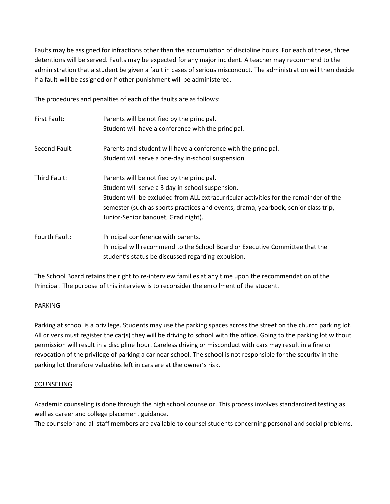Faults may be assigned for infractions other than the accumulation of discipline hours. For each of these, three detentions will be served. Faults may be expected for any major incident. A teacher may recommend to the administration that a student be given a fault in cases of serious misconduct. The administration will then decide if a fault will be assigned or if other punishment will be administered.

The procedures and penalties of each of the faults are as follows:

| First Fault:  | Parents will be notified by the principal.<br>Student will have a conference with the principal.                                                                                                                                                                                                                     |
|---------------|----------------------------------------------------------------------------------------------------------------------------------------------------------------------------------------------------------------------------------------------------------------------------------------------------------------------|
| Second Fault: | Parents and student will have a conference with the principal.                                                                                                                                                                                                                                                       |
|               | Student will serve a one-day in-school suspension                                                                                                                                                                                                                                                                    |
| Third Fault:  | Parents will be notified by the principal.<br>Student will serve a 3 day in-school suspension.<br>Student will be excluded from ALL extracurricular activities for the remainder of the<br>semester (such as sports practices and events, drama, yearbook, senior class trip,<br>Junior-Senior banquet, Grad night). |
| Fourth Fault: | Principal conference with parents.<br>Principal will recommend to the School Board or Executive Committee that the<br>student's status be discussed regarding expulsion.                                                                                                                                             |

The School Board retains the right to re-interview families at any time upon the recommendation of the Principal. The purpose of this interview is to reconsider the enrollment of the student.

# PARKING

Parking at school is a privilege. Students may use the parking spaces across the street on the church parking lot. All drivers must register the car(s) they will be driving to school with the office. Going to the parking lot without permission will result in a discipline hour. Careless driving or misconduct with cars may result in a fine or revocation of the privilege of parking a car near school. The school is not responsible for the security in the parking lot therefore valuables left in cars are at the owner's risk.

# COUNSELING

Academic counseling is done through the high school counselor. This process involves standardized testing as well as career and college placement guidance.

The counselor and all staff members are available to counsel students concerning personal and social problems.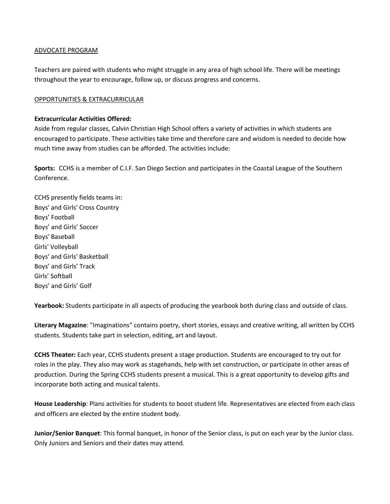# ADVOCATE PROGRAM

Teachers are paired with students who might struggle in any area of high school life. There will be meetings throughout the year to encourage, follow up, or discuss progress and concerns.

# OPPORTUNITIES & EXTRACURRICULAR

# **Extracurricular Activities Offered:**

Aside from regular classes, Calvin Christian High School offers a variety of activities in which students are encouraged to participate. These activities take time and therefore care and wisdom is needed to decide how much time away from studies can be afforded. The activities include:

**Sports:** CCHS is a member of C.I.F. San Diego Section and participates in the Coastal League of the Southern Conference.

CCHS presently fields teams in: Boys' and Girls' Cross Country Boys' Football Boys' and Girls' Soccer Boys' Baseball Girls' Volleyball Boys' and Girls' Basketball Boys' and Girls' Track Girls' Softball Boys' and Girls' Golf

**Yearbook:** Students participate in all aspects of producing the yearbook both during class and outside of class.

**Literary Magazine**: "Imaginations" contains poetry, short stories, essays and creative writing, all written by CCHS students. Students take part in selection, editing, art and layout.

**CCHS Theater:** Each year, CCHS students present a stage production. Students are encouraged to try out for roles in the play. They also may work as stagehands, help with set construction, or participate in other areas of production. During the Spring CCHS students present a musical. This is a great opportunity to develop gifts and incorporate both acting and musical talents.

**House Leadership**: Plans activities for students to boost student life. Representatives are elected from each class and officers are elected by the entire student body.

**Junior/Senior Banquet**: This formal banquet, in honor of the Senior class, is put on each year by the Junior class. Only Juniors and Seniors and their dates may attend.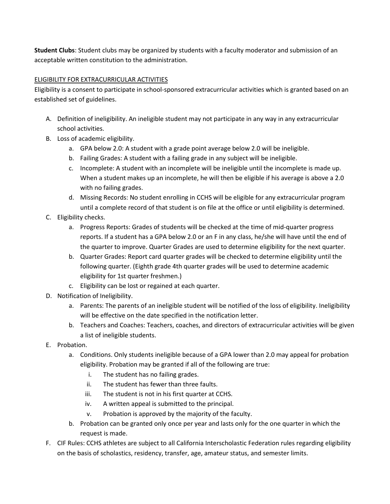**Student Clubs**: Student clubs may be organized by students with a faculty moderator and submission of an acceptable written constitution to the administration.

# ELIGIBILITY FOR EXTRACURRICULAR ACTIVITIES

Eligibility is a consent to participate in school-sponsored extracurricular activities which is granted based on an established set of guidelines.

- A. Definition of ineligibility. An ineligible student may not participate in any way in any extracurricular school activities.
- B. Loss of academic eligibility.
	- a. GPA below 2.0: A student with a grade point average below 2.0 will be ineligible.
	- b. Failing Grades: A student with a failing grade in any subject will be ineligible.
	- c. Incomplete: A student with an incomplete will be ineligible until the incomplete is made up. When a student makes up an incomplete, he will then be eligible if his average is above a 2.0 with no failing grades.
	- d. Missing Records: No student enrolling in CCHS will be eligible for any extracurricular program until a complete record of that student is on file at the office or until eligibility is determined.
- C. Eligibility checks.
	- a. Progress Reports: Grades of students will be checked at the time of mid-quarter progress reports. If a student has a GPA below 2.0 or an F in any class, he/she will have until the end of the quarter to improve. Quarter Grades are used to determine eligibility for the next quarter.
	- b. Quarter Grades: Report card quarter grades will be checked to determine eligibility until the following quarter. (Eighth grade 4th quarter grades will be used to determine academic eligibility for 1st quarter freshmen.)
	- c. Eligibility can be lost or regained at each quarter.
- D. Notification of Ineligibility.
	- a. Parents: The parents of an ineligible student will be notified of the loss of eligibility. Ineligibility will be effective on the date specified in the notification letter.
	- b. Teachers and Coaches: Teachers, coaches, and directors of extracurricular activities will be given a list of ineligible students.
- E. Probation.
	- a. Conditions. Only students ineligible because of a GPA lower than 2.0 may appeal for probation eligibility. Probation may be granted if all of the following are true:
		- i. The student has no failing grades.
		- ii. The student has fewer than three faults.
		- iii. The student is not in his first quarter at CCHS.
		- iv. A written appeal is submitted to the principal.
		- v. Probation is approved by the majority of the faculty.
	- b. Probation can be granted only once per year and lasts only for the one quarter in which the request is made.
- F. CIF Rules: CCHS athletes are subject to all California Interscholastic Federation rules regarding eligibility on the basis of scholastics, residency, transfer, age, amateur status, and semester limits.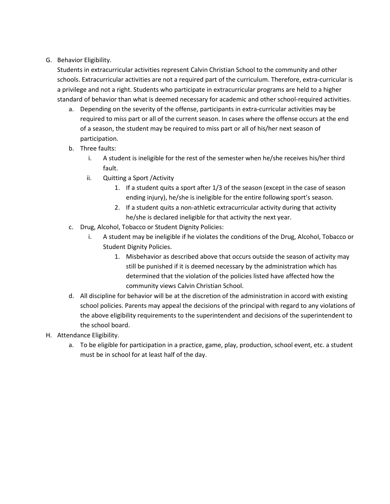# G. Behavior Eligibility.

Students in extracurricular activities represent Calvin Christian School to the community and other schools. Extracurricular activities are not a required part of the curriculum. Therefore, extra-curricular is a privilege and not a right. Students who participate in extracurricular programs are held to a higher standard of behavior than what is deemed necessary for academic and other school-required activities.

- a. Depending on the severity of the offense, participants in extra-curricular activities may be required to miss part or all of the current season. In cases where the offense occurs at the end of a season, the student may be required to miss part or all of his/her next season of participation.
- b. Three faults:
	- i. A student is ineligible for the rest of the semester when he/she receives his/her third fault.
	- ii. Quitting a Sport /Activity
		- 1. If a student quits a sport after 1/3 of the season (except in the case of season ending injury), he/she is ineligible for the entire following sport's season.
		- 2. If a student quits a non-athletic extracurricular activity during that activity he/she is declared ineligible for that activity the next year.
- c. Drug, Alcohol, Tobacco or Student Dignity Policies:
	- i. A student may be ineligible if he violates the conditions of the Drug, Alcohol, Tobacco or Student Dignity Policies.
		- 1. Misbehavior as described above that occurs outside the season of activity may still be punished if it is deemed necessary by the administration which has determined that the violation of the policies listed have affected how the community views Calvin Christian School.
- d. All discipline for behavior will be at the discretion of the administration in accord with existing school policies. Parents may appeal the decisions of the principal with regard to any violations of the above eligibility requirements to the superintendent and decisions of the superintendent to the school board.
- H. Attendance Eligibility.
	- a. To be eligible for participation in a practice, game, play, production, school event, etc. a student must be in school for at least half of the day.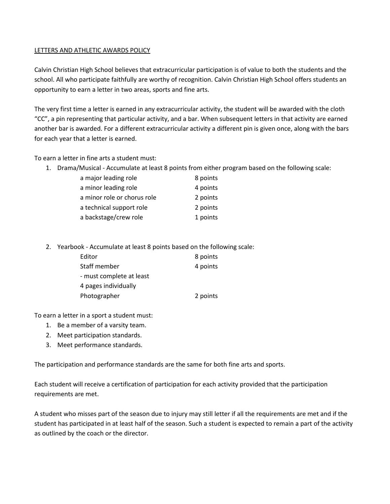# LETTERS AND ATHLETIC AWARDS POLICY

Calvin Christian High School believes that extracurricular participation is of value to both the students and the school. All who participate faithfully are worthy of recognition. Calvin Christian High School offers students an opportunity to earn a letter in two areas, sports and fine arts.

The very first time a letter is earned in any extracurricular activity, the student will be awarded with the cloth "CC", a pin representing that particular activity, and a bar. When subsequent letters in that activity are earned another bar is awarded. For a different extracurricular activity a different pin is given once, along with the bars for each year that a letter is earned.

To earn a letter in fine arts a student must:

1. Drama/Musical - Accumulate at least 8 points from either program based on the following scale:

| a major leading role        | 8 points |
|-----------------------------|----------|
| a minor leading role        | 4 points |
| a minor role or chorus role | 2 points |
| a technical support role    | 2 points |
| a backstage/crew role       | 1 points |

2. Yearbook - Accumulate at least 8 points based on the following scale:

| Editor                   | 8 points |
|--------------------------|----------|
| Staff member             | 4 points |
| - must complete at least |          |
| 4 pages individually     |          |
| Photographer             | 2 points |

To earn a letter in a sport a student must:

- 1. Be a member of a varsity team.
- 2. Meet participation standards.
- 3. Meet performance standards.

The participation and performance standards are the same for both fine arts and sports.

Each student will receive a certification of participation for each activity provided that the participation requirements are met.

A student who misses part of the season due to injury may still letter if all the requirements are met and if the student has participated in at least half of the season. Such a student is expected to remain a part of the activity as outlined by the coach or the director.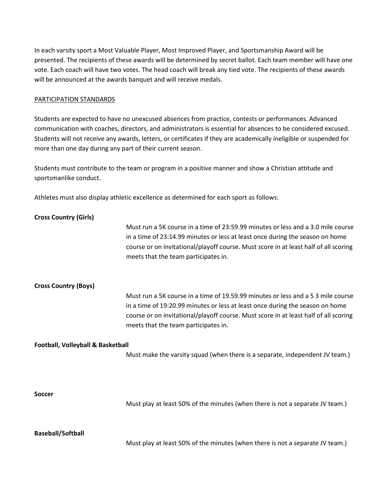In each varsity sport a Most Valuable Player, Most Improved Player, and Sportsmanship Award will be presented. The recipients of these awards will be determined by secret ballot. Each team member will have one vote. Each coach will have two votes. The head coach will break any tied vote. The recipients of these awards will be announced at the awards banquet and will receive medals.

#### PARTICIPATION STANDARDS

Students are expected to have no unexcused absences from practice, contests or performances. Advanced communication with coaches, directors, and administrators is essential for absences to be considered excused. Students will not receive any awards, letters, or certificates if they are academically ineligible or suspended for more than one day during any part of their current season.

Students must contribute to the team or program in a positive manner and show a Christian attitude and sportsmanlike conduct.

Athletes must also display athletic excellence as determined for each sport as follows:

| <b>Cross Country (Girls)</b>      |                                                                                                                                                                                                                                                                                                   |
|-----------------------------------|---------------------------------------------------------------------------------------------------------------------------------------------------------------------------------------------------------------------------------------------------------------------------------------------------|
|                                   | Must run a 5K course in a time of 23:59.99 minutes or less and a 3.0 mile course<br>in a time of 23:14.99 minutes or less at least once during the season on home<br>course or on invitational/playoff course. Must score in at least half of all scoring<br>meets that the team participates in. |
| <b>Cross Country (Boys)</b>       |                                                                                                                                                                                                                                                                                                   |
|                                   | Must run a 5K course in a time of 19.59.99 minutes or less and a 5 3 mile course<br>in a time of 19:20.99 minutes or less at least once during the season on home<br>course or on invitational/playoff course. Must score in at least half of all scoring<br>meets that the team participates in. |
| Football, Volleyball & Basketball | Must make the varsity squad (when there is a separate, independent JV team.)                                                                                                                                                                                                                      |
| <b>Soccer</b>                     | Must play at least 50% of the minutes (when there is not a separate JV team.)                                                                                                                                                                                                                     |
| <b>Baseball/Softball</b>          |                                                                                                                                                                                                                                                                                                   |
|                                   | Must play at least 50% of the minutes (when there is not a separate JV team.)                                                                                                                                                                                                                     |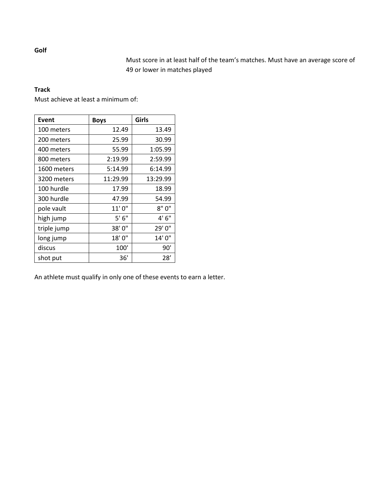Must score in at least half of the team's matches. Must have an average score of 49 or lower in matches played

# **Track**

Must achieve at least a minimum of:

| Event       | <b>Boys</b> | Girls    |
|-------------|-------------|----------|
| 100 meters  | 12.49       | 13.49    |
| 200 meters  | 25.99       | 30.99    |
| 400 meters  | 55.99       | 1:05.99  |
| 800 meters  | 2:19.99     | 2:59.99  |
| 1600 meters | 5:14.99     | 6:14.99  |
| 3200 meters | 11:29.99    | 13:29.99 |
| 100 hurdle  | 17.99       | 18.99    |
| 300 hurdle  | 47.99       | 54.99    |
| pole vault  | 11'0''      | 8"0"     |
| high jump   | 5'6''       | 4'6''    |
| triple jump | 38'0"       | 29'0"    |
| long jump   | 18'0"       | 14'0''   |
| discus      | 100'        | 90'      |
| shot put    | 36'         | 28′      |

An athlete must qualify in only one of these events to earn a letter.

**Golf**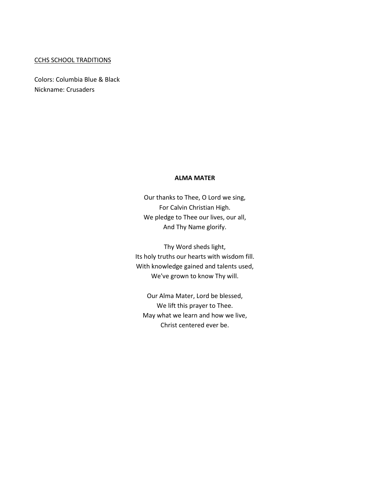#### CCHS SCHOOL TRADITIONS

Colors: Columbia Blue & Black Nickname: Crusaders

#### **ALMA MATER**

Our thanks to Thee, O Lord we sing, For Calvin Christian High. We pledge to Thee our lives, our all, And Thy Name glorify.

Thy Word sheds light, Its holy truths our hearts with wisdom fill. With knowledge gained and talents used, We've grown to know Thy will.

Our Alma Mater, Lord be blessed, We lift this prayer to Thee. May what we learn and how we live, Christ centered ever be.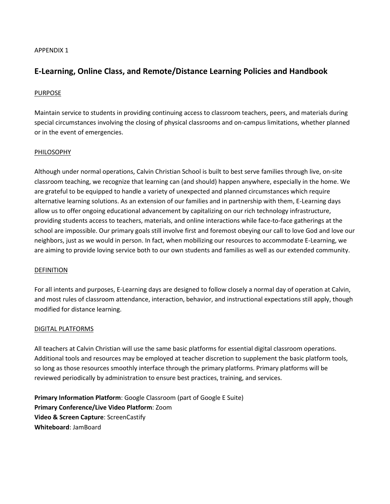#### APPENDIX 1

# **E-Learning, Online Class, and Remote/Distance Learning Policies and Handbook**

#### PURPOSE

Maintain service to students in providing continuing access to classroom teachers, peers, and materials during special circumstances involving the closing of physical classrooms and on-campus limitations, whether planned or in the event of emergencies.

#### PHILOSOPHY

Although under normal operations, Calvin Christian School is built to best serve families through live, on-site classroom teaching, we recognize that learning can (and should) happen anywhere, especially in the home. We are grateful to be equipped to handle a variety of unexpected and planned circumstances which require alternative learning solutions. As an extension of our families and in partnership with them, E-Learning days allow us to offer ongoing educational advancement by capitalizing on our rich technology infrastructure, providing students access to teachers, materials, and online interactions while face-to-face gatherings at the school are impossible. Our primary goals still involve first and foremost obeying our call to love God and love our neighbors, just as we would in person. In fact, when mobilizing our resources to accommodate E-Learning, we are aiming to provide loving service both to our own students and families as well as our extended community.

#### DEFINITION

For all intents and purposes, E-Learning days are designed to follow closely a normal day of operation at Calvin, and most rules of classroom attendance, interaction, behavior, and instructional expectations still apply, though modified for distance learning.

#### DIGITAL PLATFORMS

All teachers at Calvin Christian will use the same basic platforms for essential digital classroom operations. Additional tools and resources may be employed at teacher discretion to supplement the basic platform tools, so long as those resources smoothly interface through the primary platforms. Primary platforms will be reviewed periodically by administration to ensure best practices, training, and services.

**Primary Information Platform**: Google Classroom (part of Google E Suite) **Primary Conference/Live Video Platform**: Zoom **Video & Screen Capture**: ScreenCastify **Whiteboard**: JamBoard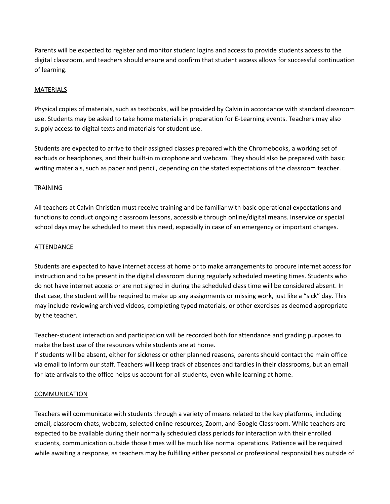Parents will be expected to register and monitor student logins and access to provide students access to the digital classroom, and teachers should ensure and confirm that student access allows for successful continuation of learning.

# MATERIALS

Physical copies of materials, such as textbooks, will be provided by Calvin in accordance with standard classroom use. Students may be asked to take home materials in preparation for E-Learning events. Teachers may also supply access to digital texts and materials for student use.

Students are expected to arrive to their assigned classes prepared with the Chromebooks, a working set of earbuds or headphones, and their built-in microphone and webcam. They should also be prepared with basic writing materials, such as paper and pencil, depending on the stated expectations of the classroom teacher.

#### TRAINING

All teachers at Calvin Christian must receive training and be familiar with basic operational expectations and functions to conduct ongoing classroom lessons, accessible through online/digital means. Inservice or special school days may be scheduled to meet this need, especially in case of an emergency or important changes.

#### ATTENDANCE

Students are expected to have internet access at home or to make arrangements to procure internet access for instruction and to be present in the digital classroom during regularly scheduled meeting times. Students who do not have internet access or are not signed in during the scheduled class time will be considered absent. In that case, the student will be required to make up any assignments or missing work, just like a "sick" day. This may include reviewing archived videos, completing typed materials, or other exercises as deemed appropriate by the teacher.

Teacher-student interaction and participation will be recorded both for attendance and grading purposes to make the best use of the resources while students are at home.

If students will be absent, either for sickness or other planned reasons, parents should contact the main office via email to inform our staff. Teachers will keep track of absences and tardies in their classrooms, but an email for late arrivals to the office helps us account for all students, even while learning at home.

#### **COMMUNICATION**

Teachers will communicate with students through a variety of means related to the key platforms, including email, classroom chats, webcam, selected online resources, Zoom, and Google Classroom. While teachers are expected to be available during their normally scheduled class periods for interaction with their enrolled students, communication outside those times will be much like normal operations. Patience will be required while awaiting a response, as teachers may be fulfilling either personal or professional responsibilities outside of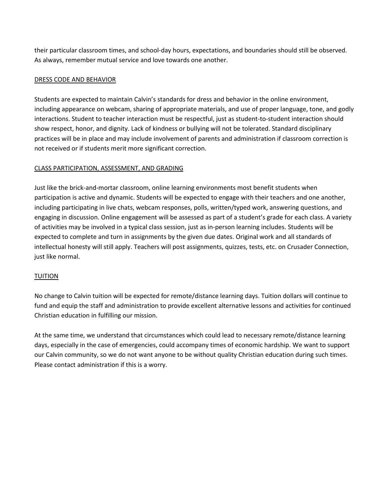their particular classroom times, and school-day hours, expectations, and boundaries should still be observed. As always, remember mutual service and love towards one another.

# DRESS CODE AND BEHAVIOR

Students are expected to maintain Calvin's standards for dress and behavior in the online environment, including appearance on webcam, sharing of appropriate materials, and use of proper language, tone, and godly interactions. Student to teacher interaction must be respectful, just as student-to-student interaction should show respect, honor, and dignity. Lack of kindness or bullying will not be tolerated. Standard disciplinary practices will be in place and may include involvement of parents and administration if classroom correction is not received or if students merit more significant correction.

# CLASS PARTICIPATION, ASSESSMENT, AND GRADING

Just like the brick-and-mortar classroom, online learning environments most benefit students when participation is active and dynamic. Students will be expected to engage with their teachers and one another, including participating in live chats, webcam responses, polls, written/typed work, answering questions, and engaging in discussion. Online engagement will be assessed as part of a student's grade for each class. A variety of activities may be involved in a typical class session, just as in-person learning includes. Students will be expected to complete and turn in assignments by the given due dates. Original work and all standards of intellectual honesty will still apply. Teachers will post assignments, quizzes, tests, etc. on Crusader Connection, just like normal.

# TUITION

No change to Calvin tuition will be expected for remote/distance learning days. Tuition dollars will continue to fund and equip the staff and administration to provide excellent alternative lessons and activities for continued Christian education in fulfilling our mission.

At the same time, we understand that circumstances which could lead to necessary remote/distance learning days, especially in the case of emergencies, could accompany times of economic hardship. We want to support our Calvin community, so we do not want anyone to be without quality Christian education during such times. Please contact administration if this is a worry.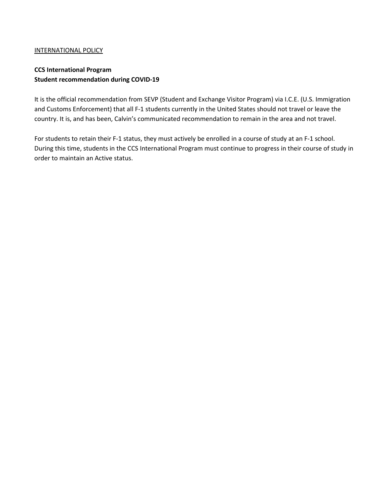# INTERNATIONAL POLICY

# **CCS International Program Student recommendation during COVID-19**

It is the official recommendation from SEVP (Student and Exchange Visitor Program) via I.C.E. (U.S. Immigration and Customs Enforcement) that all F-1 students currently in the United States should not travel or leave the country. It is, and has been, Calvin's communicated recommendation to remain in the area and not travel.

For students to retain their F-1 status, they must actively be enrolled in a course of study at an F-1 school. During this time, students in the CCS International Program must continue to progress in their course of study in order to maintain an Active status.